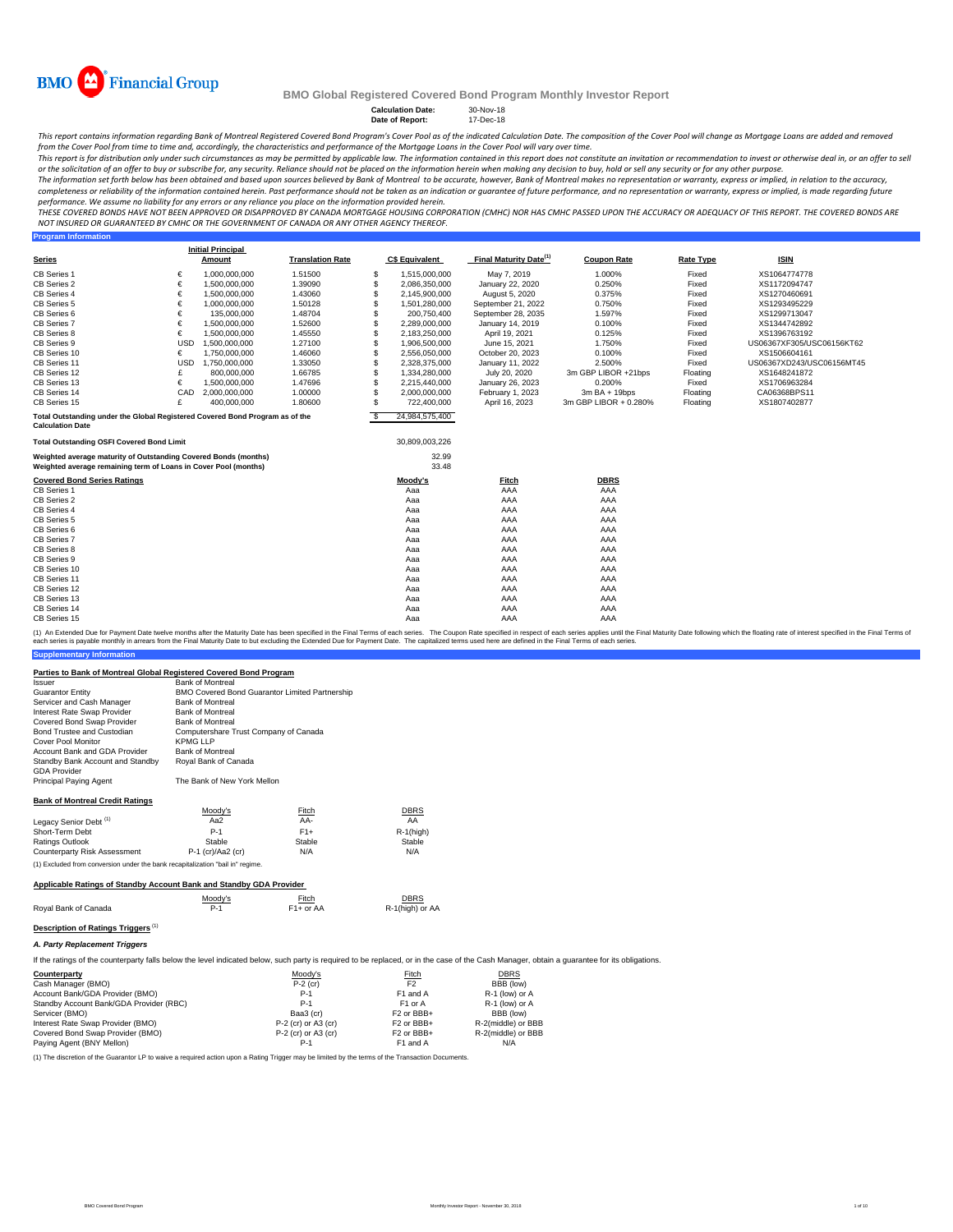

**Program Information**

### **BMO Global Registered Covered Bond Program Monthly Investor Report**

**Calculation Date:** 30-Nov-18 **Date of Report:** 17-Dec-18

This report contains information regarding Bank of Montreal Registered Covered Bond Program's Cover Pool as of the indicated Calculation Date. The composition of the Cover Pool will change as Mortgage Loans are added and r

from the Cover Pool from time to time and, accordingly, the characteristics and performance of the Mortgage Loans in the Cover Pool will vary over time. This report is for distribution only under such circumstances as may be permitted by applicable law. The information contained in this report does not constitute an invitation or recommendation to invest or otherwise deal

The information set forth below has been obtained and based upon sources believed by Bank of Montreal to be accurate, however, Bank of Montreal makes no representation or warranty, express or implied, in relation to the ac completeness or reliability of the information contained herein. Past performance should not be taken as an indication or guarantee of future performance, and no representation or warranty, express or implied, is made rega

THESE COVERED BONDS HAVE NOT BEEN APPROVED OR DISAPPROVED BY CANADA MORTGAGE HOUSING CORPORATION (CMHC) NOR HAS CMHC PASSED UPON THE ACCURACY OR ADEQUACY OF THIS REPORT. THE COVERED BONDS ARE<br>NOT INSURED OR GUARANTEED BY C

|                                                                                                                                    |            | <b>Initial Principal</b> |                         |    |                       |                                    |                       |                  |                           |
|------------------------------------------------------------------------------------------------------------------------------------|------------|--------------------------|-------------------------|----|-----------------------|------------------------------------|-----------------------|------------------|---------------------------|
| <b>Series</b>                                                                                                                      |            | Amount                   | <b>Translation Rate</b> |    | <b>C\$ Equivalent</b> | Final Maturity Date <sup>(1)</sup> | <b>Coupon Rate</b>    | <b>Rate Type</b> | <b>ISIN</b>               |
| CB Series 1                                                                                                                        | €          | 1,000,000,000            | 1.51500                 | S  | 1,515,000,000         | May 7, 2019                        | 1.000%                | Fixed            | XS1064774778              |
| CB Series 2                                                                                                                        | €          | 1,500,000,000            | 1.39090                 | s  | 2,086,350,000         | January 22, 2020                   | 0.250%                | Fixed            | XS1172094747              |
| CB Series 4                                                                                                                        | €          | 1,500,000,000            | 1.43060                 | S  | 2,145,900,000         | August 5, 2020                     | 0.375%                | Fixed            | XS1270460691              |
| CB Series 5                                                                                                                        | €          | 1,000,000,000            | 1.50128                 | S  | 1,501,280,000         | September 21, 2022                 | 0.750%                | Fixed            | XS1293495229              |
| CB Series 6                                                                                                                        | €          | 135.000.000              | 1.48704                 | s  | 200.750.400           | September 28, 2035                 | 1.597%                | Fixed            | XS1299713047              |
| CB Series 7                                                                                                                        | €          | 1.500.000.000            | 1.52600                 | S  | 2,289,000,000         | January 14, 2019                   | 0.100%                | Fixed            | XS1344742892              |
| CB Series 8                                                                                                                        | €          | 1,500,000,000            | 1.45550                 | S  | 2,183,250,000         | April 19, 2021                     | 0.125%                | Fixed            | XS1396763192              |
| CB Series 9                                                                                                                        | <b>USD</b> | 1.500.000.000            | 1.27100                 | S  | 1,906,500,000         | June 15, 2021                      | 1.750%                | Fixed            | US06367XF305/USC06156KT62 |
| CB Series 10                                                                                                                       | €          | 1,750,000,000            | 1.46060                 | S  | 2,556,050,000         | October 20, 2023                   | 0.100%                | Fixed            | XS1506604161              |
| CB Series 11                                                                                                                       | <b>USD</b> | 1,750,000,000            | 1.33050                 | S  | 2,328,375,000         | January 11, 2022                   | 2.500%                | Fixed            | US06367XD243/USC06156MT45 |
| CB Series 12                                                                                                                       | £          | 800,000,000              | 1.66785                 | S  | 1.334.280.000         | July 20, 2020                      | 3m GBP LIBOR +21bps   | Floating         | XS1648241872              |
| CB Series 13                                                                                                                       | €          | 1,500,000,000            | 1.47696                 | S  | 2.215.440.000         | January 26, 2023                   | 0.200%                | Fixed            | XS1706963284              |
| CB Series 14                                                                                                                       | CAD        | 2,000,000,000            | 1.00000                 | S  | 2,000,000,000         | February 1, 2023                   | $3mBA + 19bps$        | Floating         | CA06368BPS11              |
| CB Series 15                                                                                                                       | £          | 400.000.000              | 1.80600                 | \$ | 722.400.000           | April 16, 2023                     | 3m GBP LIBOR + 0.280% | Floating         | XS1807402877              |
| Total Outstanding under the Global Registered Covered Bond Program as of the<br><b>Calculation Date</b>                            |            |                          |                         | -S | 24,984,575,400        |                                    |                       |                  |                           |
| <b>Total Outstanding OSFI Covered Bond Limit</b>                                                                                   |            |                          |                         |    | 30,809,003,226        |                                    |                       |                  |                           |
| Weighted average maturity of Outstanding Covered Bonds (months)<br>Weighted average remaining term of Loans in Cover Pool (months) |            |                          |                         |    | 32.99<br>33.48        |                                    |                       |                  |                           |
| <b>Covered Bond Series Ratings</b>                                                                                                 |            |                          |                         |    | Moody's               | Fitch                              | <b>DBRS</b>           |                  |                           |
| CB Series 1                                                                                                                        |            |                          |                         |    | Aaa                   | AAA                                | AAA                   |                  |                           |
| CB Series 2                                                                                                                        |            |                          |                         |    | Aaa                   | AAA                                | AAA                   |                  |                           |
| CB Series 4                                                                                                                        |            |                          |                         |    | Aaa                   | AAA                                | AAA                   |                  |                           |
| CB Series 5                                                                                                                        |            |                          |                         |    | Aaa                   | AAA                                | AAA                   |                  |                           |
| CB Series 6                                                                                                                        |            |                          |                         |    | Aaa                   | AAA                                | AAA                   |                  |                           |
| CB Series 7                                                                                                                        |            |                          |                         |    | Aaa                   | AAA                                | AAA                   |                  |                           |
| CB Series 8                                                                                                                        |            |                          |                         |    | Aaa                   | AAA                                | AAA                   |                  |                           |
| CB Series 9                                                                                                                        |            |                          |                         |    | Aaa                   | AAA                                | AAA                   |                  |                           |
| CB Series 10                                                                                                                       |            |                          |                         |    | Aaa                   | AAA                                | AAA                   |                  |                           |
| CB Series 11                                                                                                                       |            |                          |                         |    | Aaa                   | AAA                                | AAA                   |                  |                           |
| CB Series 12                                                                                                                       |            |                          |                         |    | Aaa                   | AAA                                | AAA                   |                  |                           |
| CB Series 13                                                                                                                       |            |                          |                         |    | Aaa                   | AAA                                | AAA                   |                  |                           |
| CB Series 14                                                                                                                       |            |                          |                         |    | Aaa                   | AAA                                | AAA                   |                  |                           |
| CB Series 15                                                                                                                       |            |                          |                         |    | Aaa                   | AAA                                | AAA                   |                  |                           |

**Supplementary Information** (1) An Extended Due for Payment Date twelve months after the Maturity Date has been specified in the Final Terms of each series. The Coupon Rate specified in the Final Maturity Date to but excluding the Extended Due for Pa

#### **Parties to Bank of Montreal Global Registered Covered Bond Program**

| <i><b>Issuer</b></i>                                                           | <b>Bank of Montreal</b>                        |                       |                 |
|--------------------------------------------------------------------------------|------------------------------------------------|-----------------------|-----------------|
| <b>Guarantor Entity</b>                                                        | BMO Covered Bond Guarantor Limited Partnership |                       |                 |
| Servicer and Cash Manager                                                      | <b>Bank of Montreal</b>                        |                       |                 |
| Interest Rate Swap Provider                                                    | <b>Bank of Montreal</b>                        |                       |                 |
| Covered Bond Swap Provider                                                     | <b>Bank of Montreal</b>                        |                       |                 |
| Bond Trustee and Custodian                                                     | Computershare Trust Company of Canada          |                       |                 |
| Cover Pool Monitor                                                             | KPMG LLP                                       |                       |                 |
| Account Bank and GDA Provider                                                  | <b>Bank of Montreal</b>                        |                       |                 |
| Standby Bank Account and Standby<br><b>GDA Provider</b>                        | Royal Bank of Canada                           |                       |                 |
| Principal Paying Agent                                                         | The Bank of New York Mellon                    |                       |                 |
| <b>Bank of Montreal Credit Ratings</b>                                         |                                                |                       |                 |
|                                                                                | Moody's                                        | Fitch                 | <b>DBRS</b>     |
| Legacy Senior Debt <sup>(1)</sup>                                              | Aa2                                            | AA-                   | AA              |
| Short-Term Debt                                                                | $P-1$                                          | $F1+$                 | $R-1$ (high)    |
| Ratings Outlook                                                                | Stable                                         | Stable                | Stable          |
| Counterparty Risk Assessment                                                   | $P-1$ (cr)/Aa2 (cr)                            | N/A                   | N/A             |
| (1) Excluded from conversion under the bank recapitalization "bail in" regime. |                                                |                       |                 |
| Applicable Ratings of Standby Account Bank and Standby GDA Provider            |                                                |                       |                 |
|                                                                                | Moody's                                        | Fitch                 | <b>DBRS</b>     |
| Royal Bank of Canada                                                           | $P-1$                                          | F <sub>1+</sub> or AA | R-1(high) or AA |

| Royal Bank of Canada | F1+ or AA | R-1(high) o |
|----------------------|-----------|-------------|
|                      |           |             |

# **Description of Ratings Triggers**<sup>(1)</sup>

*A. Party Replacement Triggers*

If the ratings of the counterparty falls below the level indicated below, such party is required to be replaced, or in the case of the Cash Manager, obtain a guarantee for its obligations.

| Counterparty                            | Moody's               | Fitch                  | <b>DBRS</b>        |
|-----------------------------------------|-----------------------|------------------------|--------------------|
| Cash Manager (BMO)                      | $P-2$ (cr)            | F <sub>2</sub>         | BBB (low)          |
| Account Bank/GDA Provider (BMO)         | $P-1$                 | F1 and A               | R-1 (low) or A     |
| Standby Account Bank/GDA Provider (RBC) | $P-1$                 | F <sub>1</sub> or A    | R-1 (low) or A     |
| Servicer (BMO)                          | Baa3 (cr)             | F <sub>2</sub> or BBB+ | BBB (low)          |
| Interest Rate Swap Provider (BMO)       | $P-2$ (cr) or A3 (cr) | F <sub>2</sub> or BBB+ | R-2(middle) or BBB |
| Covered Bond Swap Provider (BMO)        | $P-2$ (cr) or A3 (cr) | F <sub>2</sub> or BBB+ | R-2(middle) or BBB |
| Paying Agent (BNY Mellon)               | P-1                   | F1 and A               | N/A                |

(1) The discretion of the Guarantor LP to waive a required action upon a Rating Trigger may be limited by the terms of the Transaction Documents.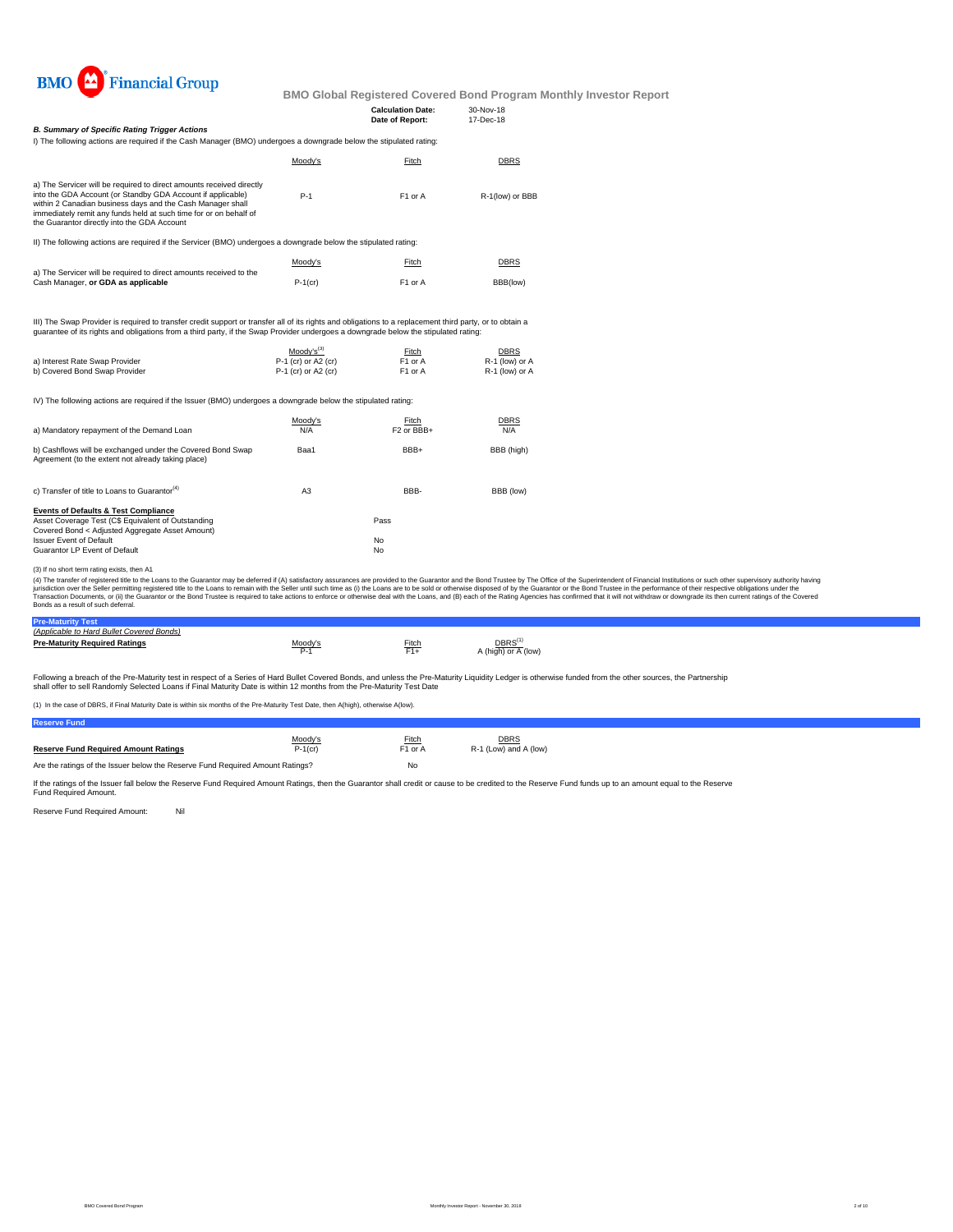

| <b>B. Summary of Specific Rating Trigger Actions</b>                                                                                                                                                                                                                                                                  |            | <b>Calculation Date:</b><br>Date of Report: | $30-Nov-18$<br>17-Dec-18 |
|-----------------------------------------------------------------------------------------------------------------------------------------------------------------------------------------------------------------------------------------------------------------------------------------------------------------------|------------|---------------------------------------------|--------------------------|
| I) The following actions are required if the Cash Manager (BMO) undergoes a downgrade below the stipulated rating:                                                                                                                                                                                                    |            |                                             |                          |
|                                                                                                                                                                                                                                                                                                                       | Moody's    | Fitch                                       | <b>DBRS</b>              |
| a) The Servicer will be required to direct amounts received directly<br>into the GDA Account (or Standby GDA Account if applicable)<br>within 2 Canadian business days and the Cash Manager shall<br>immediately remit any funds held at such time for or on behalf of<br>the Guarantor directly into the GDA Account | $P-1$      | F <sub>1</sub> or A                         | R-1(low) or BBB          |
| II) The following actions are required if the Servicer (BMO) undergoes a downgrade below the stipulated rating:                                                                                                                                                                                                       |            |                                             |                          |
|                                                                                                                                                                                                                                                                                                                       | Moody's    | Fitch                                       | <b>DBRS</b>              |
| a) The Servicer will be required to direct amounts received to the<br>Cash Manager, or GDA as applicable                                                                                                                                                                                                              | $P-1$ (cr) | F <sub>1</sub> or A                         | BBB(low)                 |

III) The Swap Provider is required to transfer credit support or transfer all of its rights and obligations to a replacement third party, or to obtain a<br>guarantee of its rights and obligations from a third party, if the Sw

|                                | $Modv's^{(3)}$        | Fitch               | <b>DBRS</b>    |
|--------------------------------|-----------------------|---------------------|----------------|
| a) Interest Rate Swap Provider | $P-1$ (cr) or A2 (cr) | F <sub>1</sub> or A | R-1 (low) or A |
| b) Covered Bond Swap Provider  | $P-1$ (cr) or A2 (cr) | F <sub>1</sub> or A | R-1 (low) or A |

IV) The following actions are required if the Issuer (BMO) undergoes a downgrade below the stipulated rating:

| a) Mandatory repayment of the Demand Loan                                                                                                                                                                                   | Moodv's<br>N/A | Fitch<br>F <sub>2</sub> or BBB+ | <b>DBRS</b><br>N/A |
|-----------------------------------------------------------------------------------------------------------------------------------------------------------------------------------------------------------------------------|----------------|---------------------------------|--------------------|
| b) Cashflows will be exchanged under the Covered Bond Swap<br>Agreement (to the extent not already taking place)                                                                                                            | Baa1           | BBB+                            | BBB (high)         |
| c) Transfer of title to Loans to Guarantor <sup>(4)</sup>                                                                                                                                                                   | A <sub>3</sub> | BBB-                            | BBB (low)          |
| <b>Events of Defaults &amp; Test Compliance</b><br>Asset Coverage Test (C\$ Equivalent of Outstanding<br>Covered Bond < Adjusted Aggregate Asset Amount)<br><b>Issuer Event of Default</b><br>Guarantor LP Event of Default |                | Pass<br>No<br>No                |                    |

(3) If no short term rating exists, then A1

(4) The transfer of registered tilte to the Loans to the Guarantor may be deferred if (A) satistadoy assurances are provided to the Guarantor and the Bond Trustee by the Odifice of the System Trustee in the performance of

### **Pre-Maturity Test** *(Applicable to Hard Bullet Covered Bonds)*

| <u>IADDIICADIG IO HAIU DUIIGI COVGIGU DOIIUSI </u> |         |       |                                                     |
|----------------------------------------------------|---------|-------|-----------------------------------------------------|
| <b>Pre-Maturity Required Ratings</b>               | Moodv's | Fitch | $\mathsf{DBRS}^\mathsf{(1)}$<br>A (high) or A (low) |

Following a breach of the Pre-Maturity test in respect of a Series of Hard Bullet Covered Bonds, and unless the Pre-Maturity Liquidity Ledger is otherwise funded from the other sources, the Partnership<br>shall offer to sell

(1) In the case of DBRS, if Final Maturity Date is within six months of the Pre-Maturity Test Date, then A(high), otherwise A(low).

| eserve Fund                                                                   |            |                     |                       |
|-------------------------------------------------------------------------------|------------|---------------------|-----------------------|
|                                                                               | Moody's    | <b>Fitch</b>        | <b>DBRS</b>           |
| <b>Reserve Fund Required Amount Ratings</b>                                   | $P-1$ (cr) | F <sub>1</sub> or A | R-1 (Low) and A (low) |
| Are the ratings of the Issuer below the Reserve Fund Required Amount Ratings? |            | No                  |                       |

If the ratings of the Issuer fall below the Reserve Fund Required Amount Ratings, then the Guarantor shall credit or cause to be credited to the Reserve Fund funds up to an amount equal to the Reserve<br>Fund Required Amount.

Reserve Fund Required Amount: Nil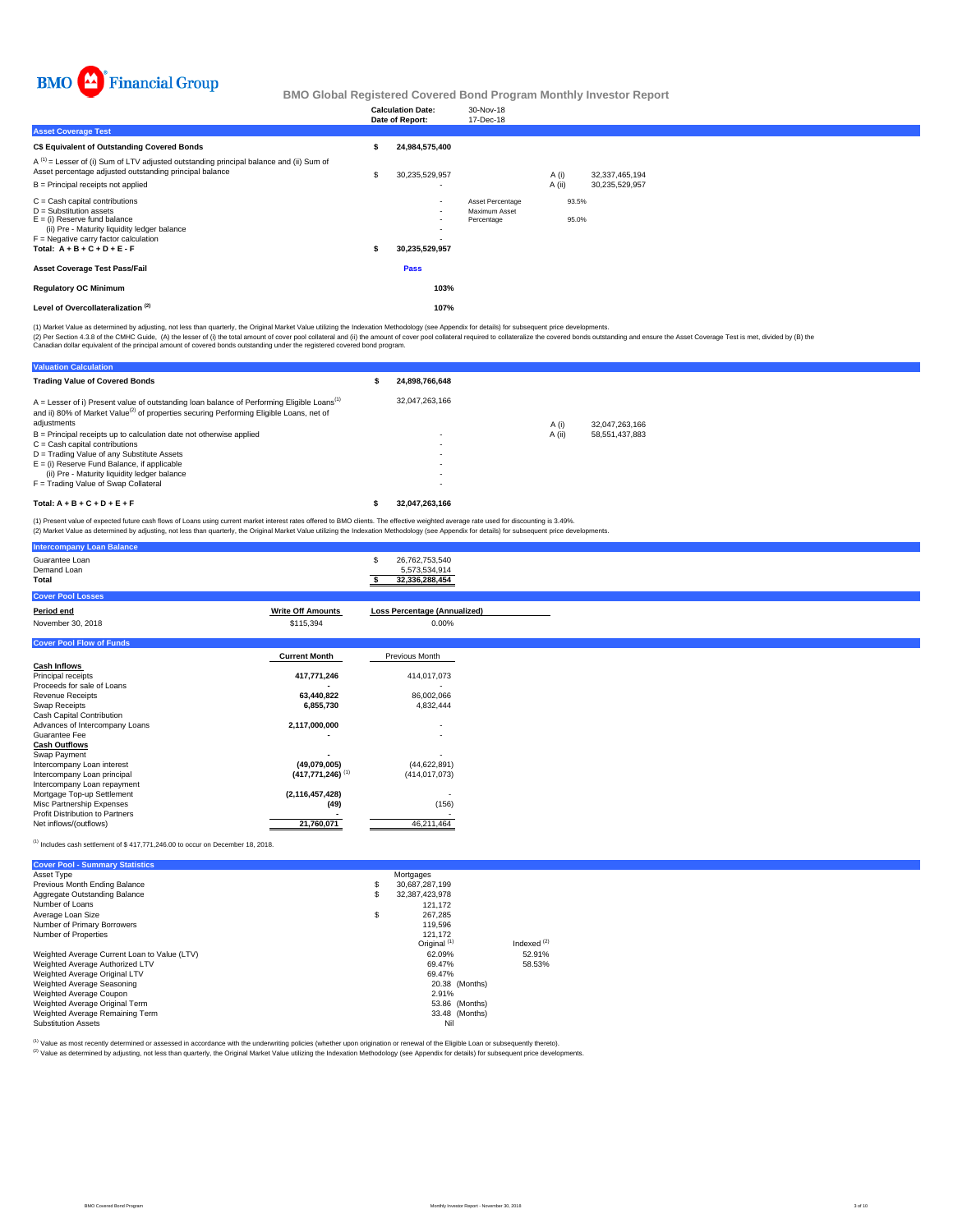

|                                                                                                                                                                                                                              | <b>Calculation Date:</b><br>Date of Report: | 30-Nov-18<br>17-Dec-18                          |                |                |  |
|------------------------------------------------------------------------------------------------------------------------------------------------------------------------------------------------------------------------------|---------------------------------------------|-------------------------------------------------|----------------|----------------|--|
| <b>Asset Coverage Test</b>                                                                                                                                                                                                   |                                             |                                                 |                |                |  |
| C\$ Equivalent of Outstanding Covered Bonds                                                                                                                                                                                  | 24,984,575,400                              |                                                 |                |                |  |
| $A^{(1)}$ = Lesser of (i) Sum of LTV adjusted outstanding principal balance and (ii) Sum of<br>Asset percentage adjusted outstanding principal balance                                                                       | 30,235,529,957                              |                                                 | A (i)          | 32,337,465,194 |  |
| B = Principal receipts not applied                                                                                                                                                                                           |                                             |                                                 | A (ii)         | 30,235,529,957 |  |
| $C =$ Cash capital contributions<br>$D =$ Substitution assets<br>$E =$ (i) Reserve fund balance<br>(ii) Pre - Maturity liquidity ledger balance<br>$F =$ Negative carry factor calculation<br>Total: $A + B + C + D + E - F$ | $\sim$<br>٠<br>۰<br>30,235,529,957          | Asset Percentage<br>Maximum Asset<br>Percentage | 93.5%<br>95.0% |                |  |
| <b>Asset Coverage Test Pass/Fail</b>                                                                                                                                                                                         | Pass                                        |                                                 |                |                |  |
| <b>Regulatory OC Minimum</b>                                                                                                                                                                                                 | 103%                                        |                                                 |                |                |  |
| Level of Overcollateralization <sup>(2)</sup>                                                                                                                                                                                | 107%                                        |                                                 |                |                |  |

(1) Market Value as determined by adjusting, not less than quarterly, the Original Market Value utilizing the Indexation Methodology (see Appendix for details) for subsequent price developments.

(2) Per Section 4.3.8 of the CMHC Guide, (A) the lesser of (i) the total amount of cover pool collateral and (ii) the amount of cover pool collateral required to collateralize the covered bonds outstanding and ensure the A

| <b>Valuation Calculation</b>                                                                                                                                                                                                   |                |        |                |
|--------------------------------------------------------------------------------------------------------------------------------------------------------------------------------------------------------------------------------|----------------|--------|----------------|
| <b>Trading Value of Covered Bonds</b>                                                                                                                                                                                          | 24.898.766.648 |        |                |
| $A =$ Lesser of i) Present value of outstanding loan balance of Performing Eligible Loans <sup>(1)</sup><br>and ii) 80% of Market Value <sup>(2)</sup> of properties securing Performing Eligible Loans, net of<br>adjustments | 32.047.263.166 | A(i)   | 32.047.263.166 |
| $B =$ Principal receipts up to calculation date not otherwise applied                                                                                                                                                          |                | A (ii) | 58.551.437.883 |
| $C = Cash$ capital contributions                                                                                                                                                                                               |                |        |                |
| D = Trading Value of any Substitute Assets                                                                                                                                                                                     |                |        |                |
| $E =$ (i) Reserve Fund Balance, if applicable                                                                                                                                                                                  |                |        |                |
| (ii) Pre - Maturity liquidity ledger balance                                                                                                                                                                                   | ٠              |        |                |
| F = Trading Value of Swap Collateral                                                                                                                                                                                           | $\sim$         |        |                |
| Total: $A + B + C + D + E + F$                                                                                                                                                                                                 | 32.047.263.166 |        |                |

(1) Present value of expected future cash flows of Loans using current market interest rates offered to BMO clients. The effective weighted average rate used for discounting is 3.49%.<br>(2) Market Value as determined by adju

| <b>Intercompany Loan Balance</b>       |                                |                                                        |
|----------------------------------------|--------------------------------|--------------------------------------------------------|
| Guarantee Loan<br>Demand Loan<br>Total |                                | 26,762,753,540<br>S<br>5,573,534,914<br>32,336,288,454 |
| <b>Cover Pool Losses</b>               |                                |                                                        |
| Period end                             | <b>Write Off Amounts</b>       | <b>Loss Percentage (Annualized)</b>                    |
| November 30, 2018                      | \$115,394                      | $0.00\%$                                               |
| <b>Cover Pool Flow of Funds</b>        |                                |                                                        |
|                                        | <b>Current Month</b>           | Previous Month                                         |
| <b>Cash Inflows</b>                    |                                |                                                        |
| Principal receipts                     | 417,771,246                    | 414,017,073                                            |
| Proceeds for sale of Loans             |                                |                                                        |
| <b>Revenue Receipts</b>                | 63,440,822                     | 86,002,066                                             |
| Swap Receipts                          | 6,855,730                      | 4,832,444                                              |
| Cash Capital Contribution              |                                |                                                        |
| Advances of Intercompany Loans         | 2,117,000,000                  | ٠                                                      |
| Guarantee Fee                          |                                | ٠                                                      |
| <b>Cash Outflows</b>                   |                                |                                                        |
| Swap Payment                           |                                |                                                        |
| Intercompany Loan interest             | (49,079,005)                   | (44, 622, 891)                                         |
| Intercompany Loan principal            | $(417,771,246)$ <sup>(1)</sup> | (414, 017, 073)                                        |
| Intercompany Loan repayment            |                                |                                                        |
| Mortgage Top-up Settlement             | (2, 116, 457, 428)             |                                                        |
| Misc Partnership Expenses              | (49)                           | (156)                                                  |
| <b>Profit Distribution to Partners</b> |                                |                                                        |
| Net inflows/(outflows)                 | 21,760,071                     | 46,211,464                                             |

### (1) Includes cash settlement of \$ 417,771,246.00 to occur on December 18, 2018.

| <b>Cover Pool - Summary Statistics</b>       |                         |               |
|----------------------------------------------|-------------------------|---------------|
| Asset Type                                   | Mortgages               |               |
| Previous Month Ending Balance                | \$<br>30.687.287.199    |               |
| Aggregate Outstanding Balance                | \$<br>32.387.423.978    |               |
| Number of Loans                              | 121.172                 |               |
| Average Loan Size                            | \$<br>267.285           |               |
| Number of Primary Borrowers                  | 119,596                 |               |
| Number of Properties                         | 121.172                 |               |
|                                              | Original <sup>(1)</sup> | Indexed $(2)$ |
| Weighted Average Current Loan to Value (LTV) | 62.09%                  | 52.91%        |
| Weighted Average Authorized LTV              | 69.47%                  | 58.53%        |
| Weighted Average Original LTV                | 69.47%                  |               |
| Weighted Average Seasoning                   | 20.38 (Months)          |               |
| Weighted Average Coupon                      | 2.91%                   |               |
| Weighted Average Original Term               | 53.86 (Months)          |               |
| Weighted Average Remaining Term              | 33.48 (Months)          |               |
| <b>Substitution Assets</b>                   | Nil                     |               |

(1) Value as most recently determined or assessed in accordance with the underwriting policies (whether upon origination or renewal of the Eligible Loan or subsequently thereto).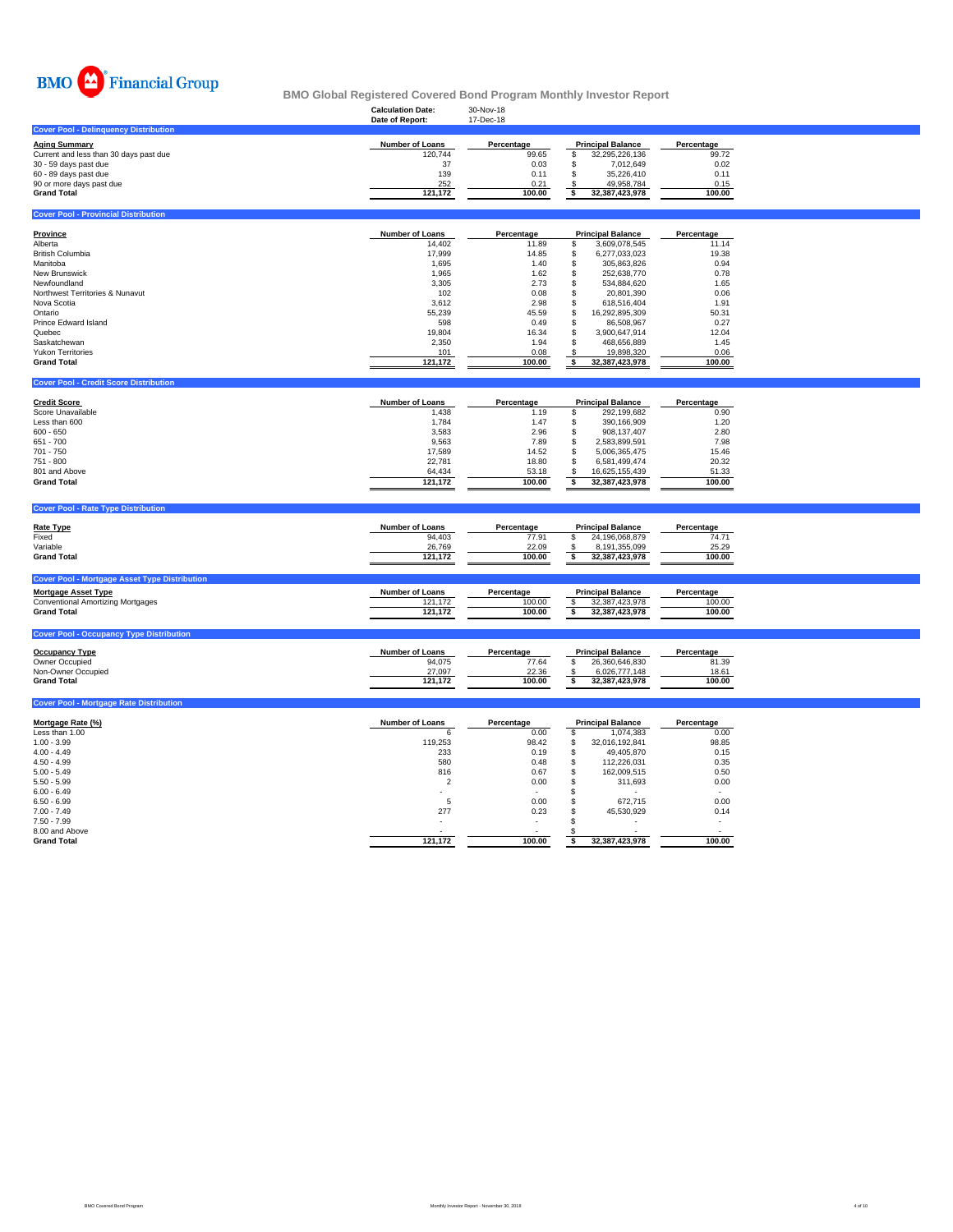

### **Calculation Date:** 30-Nov-18 **BMO Global Registered Covered Bond Program Monthly Investor Report**

|                                              | Date of Report: | 17-Dec-18  |                          |            |
|----------------------------------------------|-----------------|------------|--------------------------|------------|
| <b>Cover Pool - Delinquency Distribution</b> |                 |            |                          |            |
| <b>Aging Summary</b>                         | Number of Loans | Percentage | <b>Principal Balance</b> | Percentage |
| Current and less than 30 days past due       | 120.744         | 99.65      | 32.295.226.136           | 99.72      |
| 30 - 59 days past due                        | 37              | 0.03       | 7.012.649                | 0.02       |
| 60 - 89 days past due                        | 139             | 0.11       | 35.226.410               | 0.11       |
| 90 or more days past due                     | 252             | 0.21       | 49.958.784               | 0.15       |
| <b>Grand Total</b>                           | 121.172         | 100.00     | 32.387.423.978           | 100.00     |
|                                              |                 |            |                          |            |
| <b>Cover Pool - Provincial Distribution</b>  |                 |            |                          |            |

| Province                        | Number of Loans | Percentage |    | <b>Principal Balance</b> | Percentage |
|---------------------------------|-----------------|------------|----|--------------------------|------------|
| Alberta                         | 14.402          | 11.89      | S  | 3.609.078.545            | 11.14      |
| <b>British Columbia</b>         | 17.999          | 14.85      |    | 6.277.033.023            | 19.38      |
| Manitoba                        | 1.695           | 1.40       |    | 305.863.826              | 0.94       |
| <b>New Brunswick</b>            | 1.965           | 1.62       | S  | 252.638.770              | 0.78       |
| Newfoundland                    | 3.305           | 2.73       |    | 534.884.620              | 1.65       |
| Northwest Territories & Nunavut | 102             | 0.08       |    | 20.801.390               | 0.06       |
| Nova Scotia                     | 3.612           | 2.98       |    | 618.516.404              | 1.91       |
| Ontario                         | 55.239          | 45.59      | S  | 16.292.895.309           | 50.31      |
| Prince Edward Island            | 598             | 0.49       | 55 | 86.508.967               | 0.27       |
| Quebec                          | 19,804          | 16.34      |    | 3.900.647.914            | 12.04      |
| Saskatchewan                    | 2,350           | 1.94       | £. | 468.656.889              | 1.45       |
| <b>Yukon Territories</b>        | 101             | 0.08       |    | 19.898.320               | 0.06       |
| <b>Grand Total</b>              | 121,172         | 100.00     |    | 32.387.423.978           | 100.00     |

| <b>Cover Pool - Credit Score Distribution</b> |                        |            |                          |            |
|-----------------------------------------------|------------------------|------------|--------------------------|------------|
| <b>Credit Score</b>                           | <b>Number of Loans</b> | Percentage | <b>Principal Balance</b> | Percentage |
| Score Unavailable                             | 1.438                  | 1.19       | 292.199.682              | 0.90       |
| Less than 600                                 | 1.784                  | 1.47       | 390.166.909              | 1.20       |
| $600 - 650$                                   | 3,583                  | 2.96       | 908.137.407              | 2.80       |
| 651 - 700                                     | 9.563                  | 7.89       | 2.583.899.591            | 7.98       |
| 701 - 750                                     | 17.589                 | 14.52      | 5.006.365.475            | 15.46      |
| 751 - 800                                     | 22.781                 | 18.80      | 6.581.499.474            | 20.32      |
| 801 and Above                                 | 64.434                 | 53.18      | 16.625.155.439           | 51.33      |
| <b>Grand Total</b>                            | 121.172                | 100.00     | 32.387.423.978           | 100.00     |

| <b>Rate Type</b>                                     | <b>Number of Loans</b> | Percentage | <b>Principal Balance</b> | Percentage |
|------------------------------------------------------|------------------------|------------|--------------------------|------------|
| Fixed                                                | 94,403                 | 77.91      | 24,196,068,879           | 74.71      |
| Variable                                             | 26,769                 | 22.09      | 8,191,355,099            | 25.29      |
| <b>Grand Total</b>                                   | 121.172                | 100.00     | 32.387.423.978           | 100.00     |
| <b>Cover Pool - Mortgage Asset Type Distribution</b> |                        |            |                          |            |
| <b>Mortgage Asset Type</b>                           | <b>Number of Loans</b> | Percentage | <b>Principal Balance</b> | Percentage |
| <b>Conventional Amortizing Mortgages</b>             | 121.172                | 100.00     | 32,387,423,978           | 100.00     |
| <b>Grand Total</b>                                   | 121.172                | 100.00     | 32,387,423,978           | 100.00     |
|                                                      |                        |            |                          |            |

| <b>Occupancy Type</b> | Number of Loans | Percentage | <b>Principal Balance</b> | Percentage |
|-----------------------|-----------------|------------|--------------------------|------------|
| Owner Occupied        | 94.075          | 77.64      | 26.360.646.830           | 81.39      |
| Non-Owner Occupied    | 27.097          | 22.36      | 6.026.777.148            | 18.61      |
| <b>Grand Total</b>    | 121.172         | 100.00     | 32.387.423.978           | 100.00     |
|                       |                 |            |                          |            |

# Mortgage Rate (%)<br>
Less than 1.00<br>
1.00 - 3.99<br>
1.00 - 3.99<br>
4.00 - 4.49<br>
4.00 - 4.49<br>
5.00 - 4.49<br>
5.00 - 5.49<br>
5.00 - 5.49<br>
5.00 - 5.49<br>
5.00 - 5.49<br>
5.00 - 5.49<br>
5.00 - 5.49<br>
5.00 - 5.49<br>
7.10 - 119,253<br>
880<br>
880<br>
880<br> 5.50 - 5.99 0.00 2 311,693 \$ 0.00 6.00 - 6.49 - - - \$ - 6.50 - 6.99 0.00 5 672,715 \$ 0.00 7.00 - 7.49 0.23 277 45,530,929 \$ 0.14 7.50 - 7.99 - - - \$ - 8.00 and Above - - - \$ - **Grand Total 100.00 121,172 32,387,423,978 \$ 100.00**

**Cover Pool - Mortgage Rate Distribution**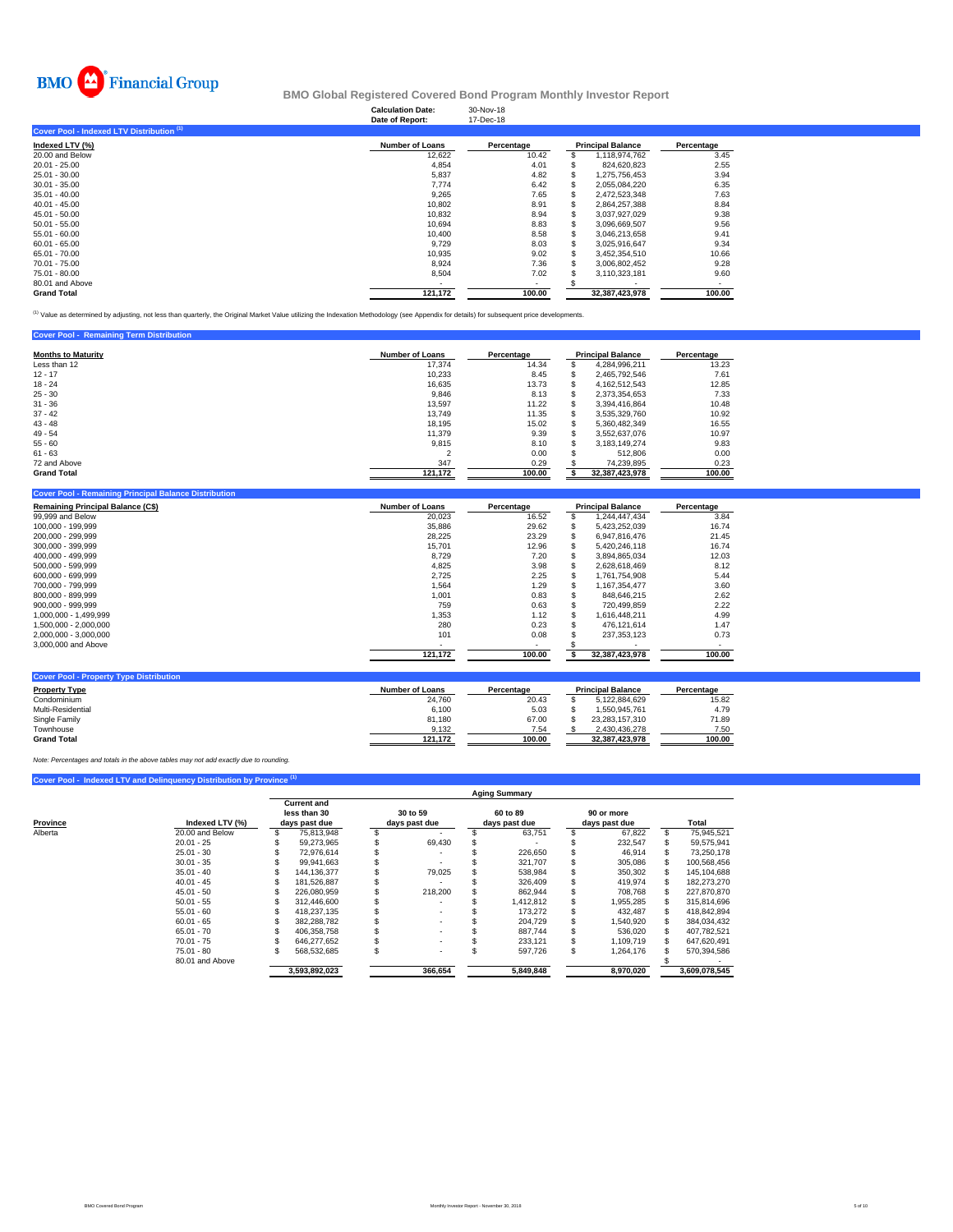

### **Calculation Date:** 30-Nov-18 **BMO Global Registered Covered Bond Program Monthly Investor Report**

|                                           | Date of Report:        | 17-Dec-18  |                          |            |
|-------------------------------------------|------------------------|------------|--------------------------|------------|
| Cover Pool - Indexed LTV Distribution (1) |                        |            |                          |            |
| Indexed LTV (%)                           | <b>Number of Loans</b> | Percentage | <b>Principal Balance</b> | Percentage |
| 20.00 and Below                           | 12,622                 | 10.42      | 1,118,974,762            | 3.45       |
| $20.01 - 25.00$                           | 4.854                  | 4.01       | 824.620.823              | 2.55       |
| 25.01 - 30.00                             | 5,837                  | 4.82       | 1,275,756,453            | 3.94       |
| $30.01 - 35.00$                           | 7.774                  | 6.42       | 2,055,084,220            | 6.35       |
| $35.01 - 40.00$                           | 9,265                  | 7.65       | 2.472.523.348            | 7.63       |
| $40.01 - 45.00$                           | 10.802                 | 8.91       | 2.864.257.388            | 8.84       |
| $45.01 - 50.00$                           | 10,832                 | 8.94       | 3,037,927,029            | 9.38       |
| $50.01 - 55.00$                           | 10,694                 | 8.83       | 3,096,669,507            | 9.56       |
| $55.01 - 60.00$                           | 10.400                 | 8.58       | 3,046,213,658            | 9.41       |
| $60.01 - 65.00$                           | 9,729                  | 8.03       | 3.025.916.647            | 9.34       |
| 65.01 - 70.00                             | 10.935                 | 9.02       | 3.452.354.510            | 10.66      |
| 70.01 - 75.00                             | 8,924                  | 7.36       | 3,006,802,452            | 9.28       |
| 75.01 - 80.00                             | 8,504                  | 7.02       | 3,110,323,181            | 9.60       |
| 80.01 and Above                           |                        |            |                          |            |
| <b>Grand Total</b>                        | 121,172                | 100.00     | 32.387.423.978           | 100.00     |

<sup>(1)</sup> Value as determined by adjusting, not less than quarterly, the Original Market Value utilizing the Indexation Methodology (see Appendix for details) for subsequent price developments.

| <b>Cover Pool - Remaining Term Distribution</b> |                        |            |                          |            |
|-------------------------------------------------|------------------------|------------|--------------------------|------------|
| <b>Months to Maturity</b>                       | <b>Number of Loans</b> | Percentage | <b>Principal Balance</b> | Percentage |
| Less than 12                                    | 17.374                 | 14.34      | 4.284.996.211            | 13.23      |
| $12 - 17$                                       | 10,233                 | 8.45       | 2.465.792.546            | 7.61       |
| $18 - 24$                                       | 16,635                 | 13.73      | 4.162.512.543            | 12.85      |
| $25 - 30$                                       | 9,846                  | 8.13       | 2.373.354.653            | 7.33       |
| $31 - 36$                                       | 13,597                 | 11.22      | 3.394.416.864            | 10.48      |
| $37 - 42$                                       | 13.749                 | 11.35      | 3.535.329.760            | 10.92      |
| $43 - 48$                                       | 18.195                 | 15.02      | 5.360.482.349            | 16.55      |
| $49 - 54$                                       | 11.379                 | 9.39       | 3.552.637.076            | 10.97      |
| $55 - 60$                                       | 9.815                  | 8.10       | 3,183,149,274            | 9.83       |
| $61 - 63$                                       |                        | 0.00       | 512,806                  | 0.00       |
| 72 and Above                                    | 347                    | 0.29       | 74,239,895               | 0.23       |
| <b>Grand Total</b>                              | 121,172                | 100.00     | 32,387,423,978           | 100.00     |

| Remaining Principal Balance (C\$) | <b>Number of Loans</b> | Percentage | <b>Principal Balance</b> | Percentage |
|-----------------------------------|------------------------|------------|--------------------------|------------|
| 99,999 and Below                  | 20,023                 | 16.52      | 1,244,447,434            | 3.84       |
| 100.000 - 199.999                 | 35,886                 | 29.62      | 5,423,252,039            | 16.74      |
| 200.000 - 299.999                 | 28,225                 | 23.29      | 6.947.816.476            | 21.45      |
| 300.000 - 399.999                 | 15,701                 | 12.96      | 5.420.246.118            | 16.74      |
| 400.000 - 499.999                 | 8,729                  | 7.20       | 3.894.865.034            | 12.03      |
| 500.000 - 599.999                 | 4,825                  | 3.98       | 2.628.618.469            | 8.12       |
| 600.000 - 699.999                 | 2,725                  | 2.25       | 1.761.754.908            | 5.44       |
| 700.000 - 799.999                 | 1,564                  | 1.29       | 1.167.354.477            | 3.60       |
| 800.000 - 899.999                 | 1,001                  | 0.83       | 848.646.215              | 2.62       |
| $900.000 - 999.999$               | 759                    | 0.63       | 720.499.859              | 2.22       |
| 1.000.000 - 1.499.999             | 1,353                  | 1.12       | 1.616.448.211            | 4.99       |
| 1.500.000 - 2.000.000             | 280                    | 0.23       | 476.121.614              | 1.47       |
| 2,000,000 - 3,000,000             | 101                    | 0.08       | 237.353.123              | 0.73       |
| 3,000,000 and Above               | ۰                      |            |                          |            |
|                                   | 121,172                | 100.00     | 32,387,423,978           | 100.00     |

| <b>Cover Pool - Property Type Distribution</b> |                 |            |                          |            |
|------------------------------------------------|-----------------|------------|--------------------------|------------|
| <b>Property Type</b>                           | Number of Loans | Percentage | <b>Principal Balance</b> | Percentage |
| Condominium                                    | 24.760          | 20.43      | 5.122.884.629            | 15.82      |
| Multi-Residential                              | 6.100           | 5.03       | 1.550.945.761            | 4.79       |
| Single Family                                  | 81.180          | 67.00      | 23.283.157.310           | 71.89      |
| Townhouse                                      | 9.132           | 7.54       | 2.430.436.278            | 7.50       |
| <b>Grand Total</b>                             | 121.172         | 100.00     | 32.387.423.978           | 100.00     |

*Note: Percentages and totals in the above tables may not add exactly due to rounding.*

## **Cover Pool - Indexed LTV and Delinquency Distribution by Province**

|          |                 |                                                     |                           |   | <b>Aging Summary</b>      |                             |               |
|----------|-----------------|-----------------------------------------------------|---------------------------|---|---------------------------|-----------------------------|---------------|
| Province | Indexed LTV (%) | <b>Current and</b><br>less than 30<br>days past due | 30 to 59<br>days past due |   | 60 to 89<br>days past due | 90 or more<br>days past due | Total         |
| Alberta  | 20.00 and Below | 75.813.948                                          |                           |   | 63.751                    | 67,822                      | 75.945.521    |
|          | $20.01 - 25$    | 59.273.965                                          | 69,430                    |   |                           | 232,547                     | 59,575,941    |
|          | $25.01 - 30$    | 72.976.614                                          |                           |   | 226.650                   | 46.914                      | 73.250.178    |
|          | $30.01 - 35$    | 99.941.663                                          |                           |   | 321.707                   | 305,086                     | 100.568.456   |
|          | $35.01 - 40$    | 144.136.377                                         | 79.025                    |   | 538.984                   | 350,302                     | 145.104.688   |
|          | $40.01 - 45$    | 181.526.887                                         |                           |   | 326,409                   | 419.974                     | 182.273.270   |
|          | $45.01 - 50$    | 226.080.959                                         | 218,200                   |   | 862.944                   | 708.768                     | 227.870.870   |
|          | $50.01 - 55$    | 312.446.600                                         |                           |   | 1.412.812                 | 955,285.                    | 315,814,696   |
|          | $55.01 - 60$    | 418.237.135                                         |                           |   | 173,272                   | 432.487                     | 418,842,894   |
|          | $60.01 - 65$    | 382.288.782                                         |                           |   | 204.729                   | 1,540,920                   | 384,034,432   |
|          | $65.01 - 70$    | 406.358.758                                         |                           |   | 887.744                   | 536.020                     | 407.782.521   |
|          | $70.01 - 75$    | 646.277.652                                         |                           |   | 233.121                   | 1.109.719                   | 647,620,491   |
|          | $75.01 - 80$    | 568,532,685                                         | ۰                         | s | 597,726                   | 1,264,176                   | 570,394,586   |
|          | 80.01 and Above |                                                     |                           |   |                           |                             |               |
|          |                 | 3,593,892,023                                       | 366,654                   |   | 5.849.848                 | 8.970.020                   | 3.609.078.545 |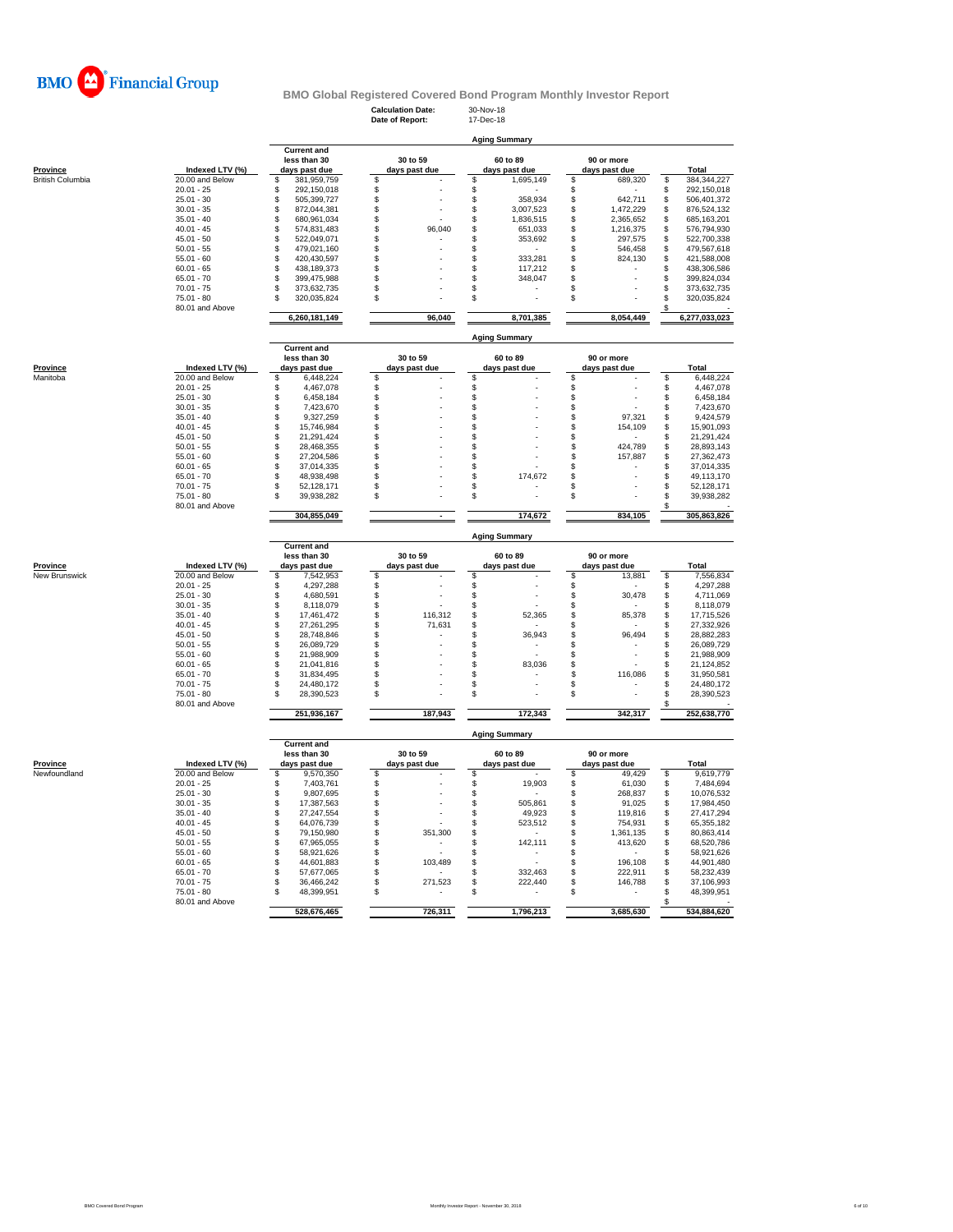

**Calculation Date:** 30-Nov-18 **Date of Report:** 17-Dec-18

**less than 30** 30 to 59 60 to 89 90 or more **Aging Summary**

| <b>Province</b>                                              | Indexed LTV (%) | days past due      | days past due | days past due            | days past due   | Total             |
|--------------------------------------------------------------|-----------------|--------------------|---------------|--------------------------|-----------------|-------------------|
| <b>British Columbia</b>                                      | 20.00 and Below | \$<br>381,959,759  | \$            | S<br>1,695,149           | \$<br>689,320   | \$<br>384,344,227 |
|                                                              | $20.01 - 25$    | 292,150,018<br>\$  | \$            | \$                       | \$              | 292,150,018<br>\$ |
|                                                              | $25.01 - 30$    | 505,399,727<br>\$  |               | \$<br>358,934            | \$<br>642,711   | 506,401,372<br>\$ |
|                                                              |                 |                    | \$            |                          |                 |                   |
|                                                              | $30.01 - 35$    | \$<br>872,044,381  |               | \$<br>3,007,523          | \$<br>1,472,229 | \$<br>876,524,132 |
|                                                              | $35.01 - 40$    | \$<br>680,961,034  | $\,$          | \$<br>1,836,515          | \$<br>2,365,652 | \$<br>685,163,201 |
|                                                              | $40.01 - 45$    | \$<br>574,831,483  | \$<br>96,040  | \$<br>651,033            | \$<br>1,216,375 | \$<br>576,794,930 |
|                                                              | $45.01 - 50$    | \$<br>522,049,071  | \$            | 353,692<br>S             | \$<br>297,575   | \$<br>522,700,338 |
|                                                              | $50.01 - 55$    | \$                 |               | \$                       |                 | \$                |
|                                                              |                 | 479,021,160        | \$            |                          | \$<br>546,458   | 479,567,618       |
|                                                              | $55.01 - 60$    | \$<br>420,430,597  | \$            | \$<br>333,281            | \$<br>824,130   | \$<br>421,588,008 |
|                                                              | $60.01 - 65$    | \$<br>438,189,373  | \$            | \$<br>117,212            | \$              | 438,306,586<br>\$ |
|                                                              | $65.01 - 70$    | \$<br>399,475,988  | \$            | 348,047<br>S             | \$              | \$<br>399,824,034 |
|                                                              |                 | \$                 |               |                          |                 |                   |
|                                                              | $70.01 - 75$    | 373,632,735        | \$            | \$                       | \$              | \$<br>373,632,735 |
|                                                              | $75.01 - 80$    | \$<br>320,035,824  | \$            | \$                       | \$              | \$<br>320,035,824 |
|                                                              | 80.01 and Above |                    |               |                          |                 | £.                |
|                                                              |                 | 6,260,181,149      | 96,040        | 8,701,385                | 8,054,449       | 6,277,033,023     |
|                                                              |                 |                    |               | <b>Aging Summary</b>     |                 |                   |
|                                                              |                 | <b>Current and</b> |               |                          |                 |                   |
|                                                              |                 | less than 30       | 30 to 59      | 60 to 89                 | 90 or more      |                   |
| Province                                                     | Indexed LTV (%) | days past due      | days past due | days past due            | days past due   | Total             |
| Manitoba                                                     | 20.00 and Below | 6,448,224<br>\$    | \$            | \$                       | \$              | 6,448,224<br>\$   |
|                                                              | $20.01 - 25$    | \$<br>4,467,078    | \$            | \$                       | \$              | \$<br>4,467,078   |
|                                                              |                 |                    |               |                          |                 |                   |
|                                                              | $25.01 - 30$    | \$<br>6,458,184    | \$            | \$                       | \$              | \$<br>6,458,184   |
|                                                              | $30.01 - 35$    | \$<br>7,423,670    | \$            | \$                       | \$              | \$<br>7,423,670   |
|                                                              | $35.01 - 40$    | \$<br>9,327,259    | \$            | \$                       | \$<br>97,321    | \$<br>9,424,579   |
|                                                              | $40.01 - 45$    | \$                 | \$            | \$                       | \$<br>154,109   | \$                |
|                                                              |                 | 15,746,984         |               |                          |                 | 15,901,093        |
|                                                              | $45.01 - 50$    | \$<br>21,291,424   | \$            | \$                       | \$              | \$<br>21,291,424  |
|                                                              | $50.01 - 55$    | \$<br>28,468,355   | \$            | \$                       | \$<br>424,789   | \$<br>28,893,143  |
|                                                              | $55.01 - 60$    | \$<br>27,204,586   | \$            | \$                       | \$<br>157,887   | \$<br>27,362,473  |
|                                                              | $60.01 - 65$    | \$<br>37,014,335   | \$            | \$                       | \$              | \$<br>37,014,335  |
|                                                              |                 |                    |               |                          |                 |                   |
|                                                              | $65.01 - 70$    | \$<br>48,938,498   | \$            | 174,672<br>\$            | \$              | \$<br>49,113,170  |
|                                                              | $70.01 - 75$    | \$<br>52,128,171   | \$            | \$                       | \$              | \$<br>52,128,171  |
|                                                              | $75.01 - 80$    | 39,938,282<br>\$   | \$            | S                        | \$              | \$<br>39,938,282  |
|                                                              | 80.01 and Above |                    |               |                          |                 |                   |
|                                                              |                 | 304,855,049        |               | 174,672                  | 834.105         | 305,863,826       |
|                                                              |                 |                    |               |                          |                 |                   |
|                                                              |                 | <b>Current and</b> |               | <b>Aging Summary</b>     |                 |                   |
|                                                              |                 | less than 30       | 30 to 59      | 60 to 89                 | 90 or more      |                   |
|                                                              |                 |                    |               |                          |                 |                   |
|                                                              |                 |                    |               |                          |                 |                   |
|                                                              | Indexed LTV (%) | days past due      | days past due | days past due            | days past due   | Total             |
|                                                              | 20.00 and Below | 7,542,953<br>S     | \$            | \$                       | \$<br>13,881    | \$<br>7,556,834   |
|                                                              | $20.01 - 25$    | \$<br>4,297,288    | \$            | \$                       | \$              | 4,297,288<br>\$   |
|                                                              |                 |                    |               |                          |                 | \$                |
|                                                              | $25.01 - 30$    | \$<br>4,680,591    | \$            | \$                       | \$<br>30,478    | 4,711,069         |
|                                                              | $30.01 - 35$    | \$<br>8,118,079    | \$            | \$                       | \$              | \$<br>8,118,079   |
|                                                              | $35.01 - 40$    | \$<br>17,461,472   | \$<br>116,312 | \$<br>52,365             | \$<br>85,378    | \$<br>17,715,526  |
|                                                              | $40.01 - 45$    | \$<br>27,261,295   | \$<br>71,631  | \$                       | \$              | \$<br>27,332,926  |
|                                                              |                 |                    |               | S                        |                 |                   |
|                                                              | $45.01 - 50$    | \$<br>28,748,846   | \$            | 36,943                   | \$<br>96,494    | \$<br>28,882,283  |
|                                                              | $50.01 - 55$    | \$<br>26,089,729   | \$            | \$                       | \$              | \$<br>26,089,729  |
|                                                              | $55.01 - 60$    | \$<br>21,988,909   | \$            | \$                       | \$              | \$<br>21,988,909  |
|                                                              | $60.01 - 65$    | \$<br>21,041,816   | \$            | 83,036<br>\$             | \$              | \$<br>21,124,852  |
|                                                              |                 | S                  |               | \$                       |                 |                   |
|                                                              | $65.01 - 70$    | 31,834,495         | \$            |                          | 116,086<br>\$   | \$<br>31,950,581  |
|                                                              | $70.01 - 75$    | 24,480,172<br>S    | \$            | \$                       | \$              | \$<br>24,480,172  |
|                                                              | $75.01 - 80$    | 28,390,523<br>\$   | \$            | \$                       | \$              | \$<br>28,390,523  |
|                                                              | 80.01 and Above |                    |               |                          |                 | S                 |
|                                                              |                 | 251,936,167        | 187,943       | 172,343                  | 342,317         | 252,638,770       |
|                                                              |                 |                    |               | <b>Aging Summary</b>     |                 |                   |
|                                                              |                 | <b>Current and</b> |               |                          |                 |                   |
|                                                              |                 | less than 30       | 30 to 59      | 60 to 89                 | 90 or more      |                   |
|                                                              | Indexed LTV (%) | days past due      | days past due | days past due            | days past due   | Total             |
|                                                              | 20.00 and Below | \$<br>9,570,350    | \$            | \$                       | 49,429<br>\$    | \$<br>9,619,779   |
|                                                              | $20.01 - 25$    | \$<br>7,403,761    |               | \$<br>19,903             | \$<br>61,030    | \$                |
|                                                              |                 |                    | \$            | $\overline{\phantom{a}}$ |                 | 7,484,694         |
|                                                              | $25.01 - 30$    | \$<br>9,807,695    | \$            | \$                       | \$<br>268,837   | \$<br>10,076,532  |
|                                                              | $30.01 - 35$    | \$<br>17,387,563   | \$            | 505,861<br>\$            | \$<br>91,025    | \$<br>17,984,450  |
|                                                              | $35.01 - 40$    | 27,247,554<br>\$   | \$            | 49,923<br>S              | \$<br>119,816   | \$<br>27,417,294  |
|                                                              |                 |                    |               |                          |                 |                   |
|                                                              | $40.01 - 45$    | \$<br>64,076,739   | \$            | \$<br>523,512            | \$<br>754,931   | \$<br>65,355,182  |
|                                                              | $45.01 - 50$    | \$<br>79,150,980   | \$<br>351,300 | \$                       | \$<br>1,361,135 | \$<br>80,863,414  |
|                                                              | $50.01 - 55$    | \$<br>67,965,055   | \$            | \$<br>142,111            | \$<br>413,620   | \$<br>68,520,786  |
|                                                              |                 | S                  |               | \$                       |                 | S                 |
|                                                              | $55.01 - 60$    | 58,921,626         | \$            |                          | \$              | 58,921,626        |
|                                                              | $60.01 - 65$    | \$<br>44,601,883   | \$<br>103,489 | \$                       | \$<br>196,108   | \$<br>44,901,480  |
|                                                              | $65.01 - 70$    | 57,677,065<br>S    | \$            | \$<br>332,463            | \$<br>222,911   | \$<br>58,232,439  |
|                                                              | $70.01 - 75$    | 36,466,242<br>\$   | 271,523<br>\$ | \$<br>222,440            | 146,788<br>\$   | \$<br>37,106,993  |
|                                                              | 75.01 - 80      | 48,399,951<br>\$   | \$            | \$                       | \$              | \$<br>48,399,951  |
| Province<br>New Brunswick<br><b>Province</b><br>Newfoundland | 80.01 and Above |                    |               |                          |                 |                   |
|                                                              |                 | 528,676,465        | 726,311       | 1,796,213                | 3,685,630       | 534,884,620       |

**Current and**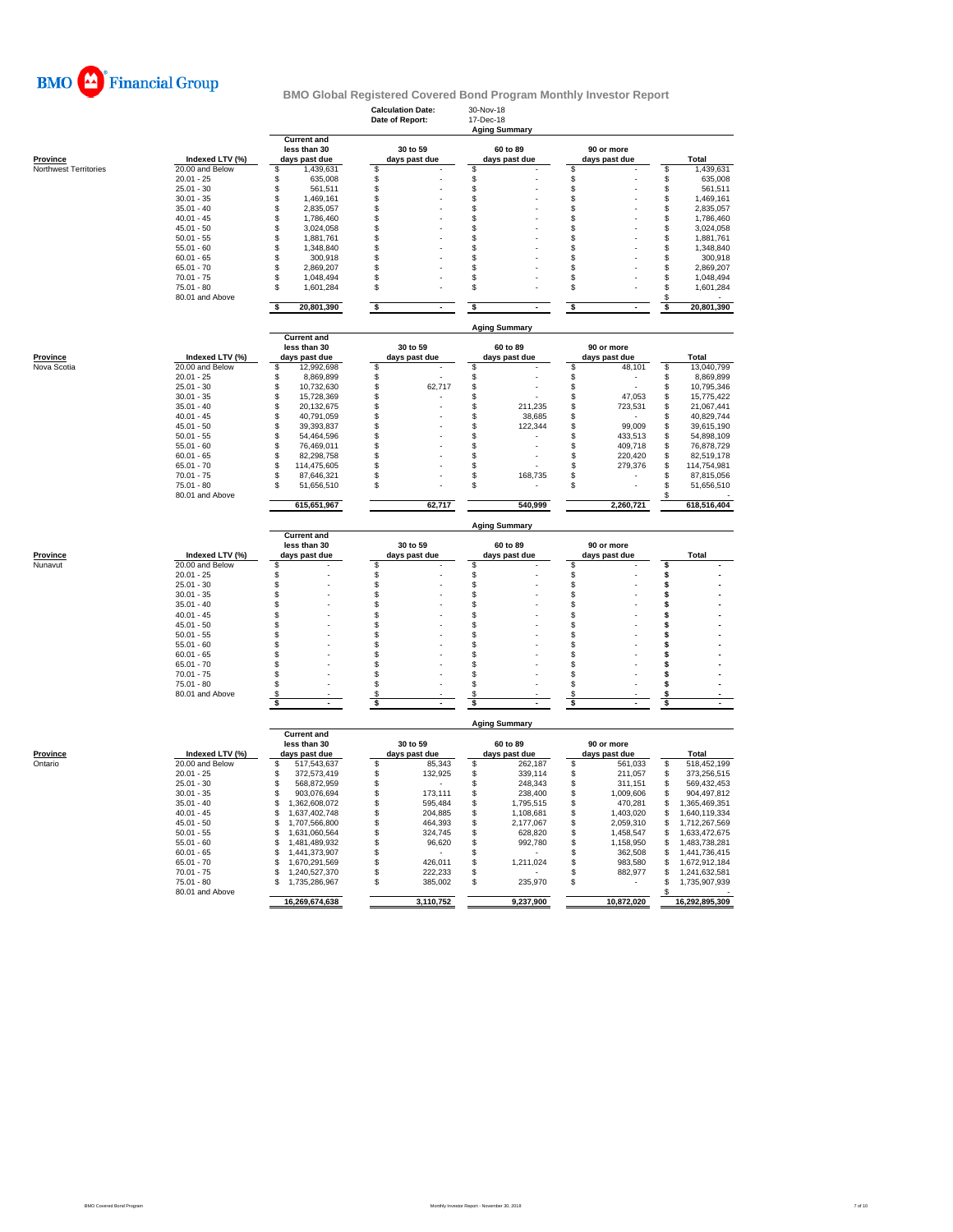

|                                          |                                    | <b>Current and</b>                                  | <b>Calculation Date:</b><br>Date of Report: | 30-Nov-18<br>17-Dec-18<br><b>Aging Summary</b> |                                |                                        |  |  |  |  |  |  |
|------------------------------------------|------------------------------------|-----------------------------------------------------|---------------------------------------------|------------------------------------------------|--------------------------------|----------------------------------------|--|--|--|--|--|--|
|                                          |                                    |                                                     | 30 to 59                                    | 60 to 89                                       | 90 or more                     |                                        |  |  |  |  |  |  |
| <b>Province</b><br>Northwest Territories | Indexed LTV (%)<br>20.00 and Below | days past due<br>\$                                 | days past due<br>\$                         | days past due<br>\$                            | days past due<br>\$            | <b>Total</b><br>\$<br>1,439,631        |  |  |  |  |  |  |
|                                          | $20.01 - 25$                       | 1,439,631<br>\$<br>635,008                          | \$                                          | \$                                             | \$                             | 635,008<br>\$                          |  |  |  |  |  |  |
|                                          | $25.01 - 30$                       | \$<br>561,511                                       | \$                                          | \$                                             | \$                             | \$<br>561,511                          |  |  |  |  |  |  |
|                                          | $30.01 - 35$                       | \$<br>1,469,161                                     | \$                                          | \$                                             | \$                             | \$<br>1,469,161                        |  |  |  |  |  |  |
|                                          | $35.01 - 40$                       | \$<br>2,835,057                                     | \$                                          | \$                                             | \$                             | \$<br>2.835.057                        |  |  |  |  |  |  |
|                                          | $40.01 - 45$                       | \$<br>1,786,460                                     | \$                                          | \$                                             | \$                             | \$<br>1,786,460                        |  |  |  |  |  |  |
|                                          | $45.01 - 50$                       | \$<br>3,024,058                                     | S                                           | \$                                             | S                              | \$<br>3,024,058                        |  |  |  |  |  |  |
|                                          | $50.01 - 55$                       | \$<br>1.881.761                                     | \$                                          | \$                                             | \$                             | \$<br>1,881,761                        |  |  |  |  |  |  |
|                                          | $55.01 - 60$                       | \$<br>1,348,840                                     | \$                                          | \$                                             | \$                             | \$<br>1,348,840                        |  |  |  |  |  |  |
|                                          | $60.01 - 65$                       | 300,918<br>\$                                       | S                                           | \$                                             | \$                             | \$<br>300,918                          |  |  |  |  |  |  |
|                                          | $65.01 - 70$                       | 2,869,207<br>\$                                     | \$                                          | \$                                             | \$                             | \$<br>2,869,207                        |  |  |  |  |  |  |
|                                          | $70.01 - 75$                       | \$<br>1,048,494                                     | \$                                          | \$                                             | \$                             | \$<br>1,048,494                        |  |  |  |  |  |  |
|                                          | $75.01 - 80$<br>80.01 and Above    | \$<br>1,601,284                                     | \$                                          | \$                                             | \$                             | \$<br>1,601,284<br>\$                  |  |  |  |  |  |  |
|                                          |                                    | \$<br>20,801,390                                    | \$                                          | \$                                             | \$                             | 20,801,390<br>\$                       |  |  |  |  |  |  |
|                                          |                                    |                                                     |                                             | <b>Aging Summary</b>                           |                                |                                        |  |  |  |  |  |  |
|                                          |                                    | <b>Current and</b><br>less than 30                  | 30 to 59                                    | 60 to 89                                       |                                |                                        |  |  |  |  |  |  |
| Province                                 | Indexed LTV (%)                    |                                                     |                                             |                                                | 90 or more                     | Total                                  |  |  |  |  |  |  |
| Nova Scotia                              | 20.00 and Below                    | days past due<br>12,992,698<br>\$                   | days past due<br>\$                         | days past due<br>\$                            | days past due<br>\$<br>48,101  | \$<br>13,040,799                       |  |  |  |  |  |  |
|                                          | $20.01 - 25$                       | 8,869,899<br>£.                                     | \$                                          | \$                                             | \$                             | \$<br>8,869,899                        |  |  |  |  |  |  |
|                                          | $25.01 - 30$                       | 10,732,630<br>\$                                    | \$<br>62,717                                | \$                                             | \$                             | \$<br>10,795,346                       |  |  |  |  |  |  |
|                                          | $30.01 - 35$                       | \$<br>15,728,369                                    | \$                                          | \$                                             | \$<br>47,053                   | \$<br>15,775,422                       |  |  |  |  |  |  |
|                                          | $35.01 - 40$                       | \$<br>20,132,675                                    | \$                                          | \$<br>211.235                                  | \$<br>723,531                  | \$<br>21,067,441                       |  |  |  |  |  |  |
|                                          | $40.01 - 45$                       | \$<br>40,791,059                                    | \$                                          | \$<br>38,685                                   | \$                             | \$<br>40,829,744                       |  |  |  |  |  |  |
|                                          | $45.01 - 50$                       | \$<br>39,393,837                                    | S                                           | \$<br>122,344                                  | \$<br>99,009                   | \$<br>39,615,190                       |  |  |  |  |  |  |
|                                          | $50.01 - 55$                       | 54,464,596<br>\$                                    | \$                                          | \$                                             | \$<br>433,513                  | \$<br>54,898,109                       |  |  |  |  |  |  |
|                                          | $55.01 - 60$                       | \$<br>76,469,011                                    | \$                                          | \$                                             | \$<br>409,718                  | \$<br>76,878,729                       |  |  |  |  |  |  |
|                                          | $60.01 - 65$                       | \$<br>82,298,758                                    | \$                                          | \$                                             | \$<br>220,420                  | \$<br>82.519.178                       |  |  |  |  |  |  |
|                                          | $65.01 - 70$                       | \$<br>114,475,605                                   | \$                                          | \$                                             | \$<br>279,376                  | \$<br>114,754,981                      |  |  |  |  |  |  |
|                                          | $70.01 - 75$                       | \$<br>87,646,321                                    | \$                                          | \$<br>168,735                                  | \$                             | \$<br>87,815,056                       |  |  |  |  |  |  |
|                                          | $75.01 - 80$<br>80.01 and Above    | 51,656,510<br>£.                                    | S                                           | \$                                             | \$                             | \$<br>51,656,510                       |  |  |  |  |  |  |
|                                          |                                    | 615,651,967                                         | 62,717                                      | 540,999                                        | 2,260,721                      | 618,516,404                            |  |  |  |  |  |  |
|                                          |                                    |                                                     |                                             | <b>Aging Summary</b>                           |                                |                                        |  |  |  |  |  |  |
|                                          | Indexed LTV (%)                    | <b>Current and</b><br>less than 30<br>days past due | 30 to 59<br>days past due                   | 60 to 89<br>days past due                      | 90 or more<br>days past due    | <b>Total</b>                           |  |  |  |  |  |  |
| Province                                 |                                    |                                                     | \$                                          | \$                                             | \$                             | \$                                     |  |  |  |  |  |  |
| Nunavut                                  | 20.00 and Below                    | \$                                                  |                                             |                                                |                                |                                        |  |  |  |  |  |  |
|                                          | $20.01 - 25$                       | \$                                                  | \$                                          | \$                                             | \$                             | \$                                     |  |  |  |  |  |  |
|                                          | $25.01 - 30$                       | \$                                                  | \$                                          | \$                                             | \$                             | \$                                     |  |  |  |  |  |  |
|                                          | $30.01 - 35$                       | \$                                                  | \$                                          | \$                                             | \$                             | \$                                     |  |  |  |  |  |  |
|                                          | $35.01 - 40$                       | \$                                                  | \$                                          | \$                                             | \$                             | \$                                     |  |  |  |  |  |  |
|                                          | $40.01 - 45$                       | \$                                                  | \$                                          | \$                                             | \$                             | \$                                     |  |  |  |  |  |  |
|                                          | $45.01 - 50$                       | $\mathfrak{L}$                                      | \$                                          | \$                                             | \$                             | \$                                     |  |  |  |  |  |  |
|                                          | $50.01 - 55$                       | \$                                                  | \$                                          | \$                                             | \$                             | \$                                     |  |  |  |  |  |  |
|                                          | $55.01 - 60$                       | \$                                                  | \$                                          | \$                                             | \$                             | \$                                     |  |  |  |  |  |  |
|                                          | $60.01 - 65$                       | \$                                                  | \$                                          | \$                                             | \$                             | \$                                     |  |  |  |  |  |  |
|                                          | $65.01 - 70$                       | \$                                                  | \$                                          | \$                                             | \$                             | \$                                     |  |  |  |  |  |  |
|                                          | $70.01 - 75$                       | £.                                                  | \$                                          | \$                                             | \$                             | \$                                     |  |  |  |  |  |  |
|                                          | $75.01 - 80$                       | \$                                                  | \$                                          | \$                                             | \$                             | \$                                     |  |  |  |  |  |  |
|                                          | 80.01 and Above                    | S<br>\$                                             | S<br>\$                                     | S<br>\$                                        | S<br>\$                        | s<br>\$                                |  |  |  |  |  |  |
|                                          |                                    |                                                     |                                             |                                                |                                |                                        |  |  |  |  |  |  |
|                                          |                                    | <b>Current and</b>                                  |                                             | <b>Aging Summary</b>                           |                                |                                        |  |  |  |  |  |  |
|                                          |                                    | less than 30                                        | 30 to 59                                    | 60 to 89                                       | 90 or more                     |                                        |  |  |  |  |  |  |
| Province                                 | Indexed LTV (%)                    | days past due<br>\$                                 | days past due                               | days past due                                  | days past due                  | Total                                  |  |  |  |  |  |  |
| Ontario                                  | 20.00 and Below<br>$20.01 - 25$    | 517,543,637<br>372,573,419<br>\$                    | \$<br>85,343<br>132,925<br>\$               | \$<br>262,187<br>\$<br>339,114                 | \$<br>561,033<br>211,057<br>\$ | \$<br>518,452,199<br>\$<br>373,256,515 |  |  |  |  |  |  |
|                                          | $25.01 - 30$                       | 568,872,959<br>\$                                   | \$                                          | \$<br>248,343                                  | 311,151<br>\$                  | \$<br>569,432,453                      |  |  |  |  |  |  |
|                                          | $30.01 - 35$                       | \$<br>903,076,694                                   | \$<br>173,111                               | \$<br>238,400                                  | \$<br>1,009,606                | \$<br>904,497,812                      |  |  |  |  |  |  |
|                                          | $35.01 - 40$                       | \$<br>1,362,608,072                                 | \$<br>595,484                               | \$<br>1,795,515                                | \$<br>470,281                  | \$<br>1,365,469,351                    |  |  |  |  |  |  |
|                                          | $40.01 - 45$                       | \$<br>1,637,402,748                                 | \$<br>204,885                               | \$<br>1,108,681                                | \$<br>1,403,020                | \$<br>1,640,119,334                    |  |  |  |  |  |  |
|                                          | $45.01 - 50$                       | \$<br>1,707,566,800                                 | \$<br>464,393                               | \$<br>2,177,067                                | \$<br>2,059,310                | \$<br>1,712,267,569                    |  |  |  |  |  |  |
|                                          | $50.01 - 55$                       | 1,631,060,564<br>\$                                 | \$<br>324,745                               | \$<br>628,820                                  | 1,458,547<br>\$                | \$<br>1,633,472,675                    |  |  |  |  |  |  |
|                                          | $55.01 - 60$                       | \$<br>1,481,489,932                                 | \$<br>96,620                                | \$<br>992,780                                  | \$<br>1,158,950                | \$<br>1,483,738,281                    |  |  |  |  |  |  |
|                                          | $60.01 - 65$                       | \$<br>1,441,373,907                                 | \$                                          | \$                                             | \$<br>362,508                  | \$<br>1,441,736,415                    |  |  |  |  |  |  |
|                                          | $65.01 - 70$                       | 1,670,291,569<br>\$                                 | \$<br>426,011                               | \$<br>1,211,024                                | \$<br>983,580                  | \$<br>1,672,912,184                    |  |  |  |  |  |  |
|                                          | $70.01 - 75$                       | 1,240,527,370<br>£.                                 | 222,233<br>£.                               | \$                                             | \$<br>882,977                  | \$<br>1,241,632,581                    |  |  |  |  |  |  |
|                                          | $75.01 - 80$                       | 1,735,286,967<br>S                                  | \$<br>385,002                               | \$<br>235,970                                  | \$                             | \$<br>1,735,907,939                    |  |  |  |  |  |  |
|                                          | 80.01 and Above                    | 16,269,674,638                                      | 3,110,752                                   | 9,237,900                                      | 10,872,020                     | S<br>16,292,895,309                    |  |  |  |  |  |  |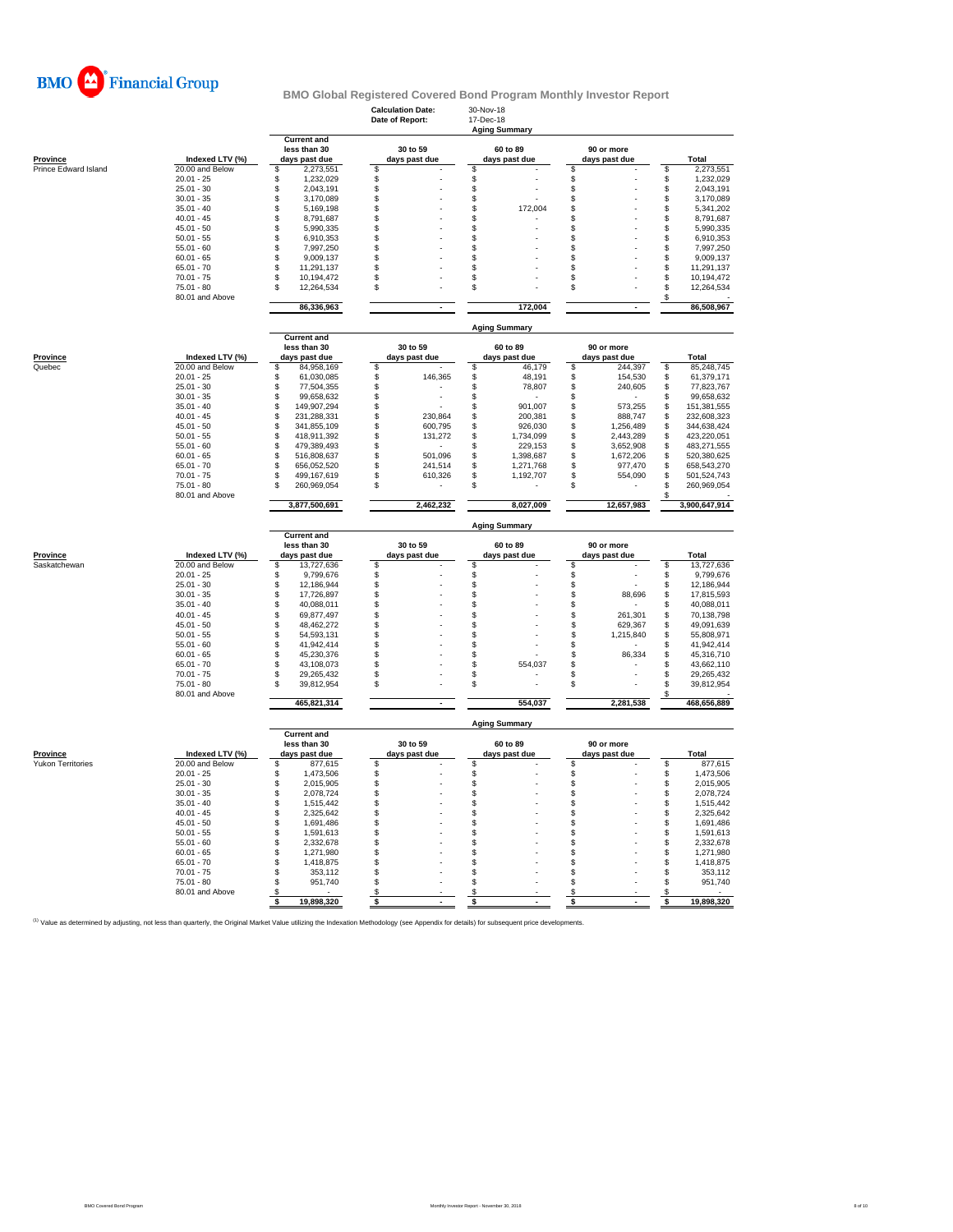

|                      |                                 |                                                     | <b>Calculation Date:</b><br>Date of Report: | 30-Nov-18<br>17-Dec-18<br><b>Aging Summary</b> |                             |                                     |  |  |  |  |  |  |
|----------------------|---------------------------------|-----------------------------------------------------|---------------------------------------------|------------------------------------------------|-----------------------------|-------------------------------------|--|--|--|--|--|--|
| <b>Province</b>      | Indexed LTV (%)                 | <b>Current and</b><br>less than 30<br>days past due | 30 to 59<br>days past due                   | 60 to 89<br>days past due                      | 90 or more<br>days past due | Total                               |  |  |  |  |  |  |
| Prince Edward Island | 20.00 and Below                 | \$<br>2,273,551                                     | s                                           | S                                              | \$                          | S<br>2,273,551                      |  |  |  |  |  |  |
|                      | $20.01 - 25$                    | \$<br>1,232,029                                     | \$                                          | \$                                             | \$                          | \$<br>1,232,029                     |  |  |  |  |  |  |
|                      | $25.01 - 30$                    | $$\mathbb{S}$$<br>2,043,191                         | $\mathsf{\$}$                               | \$                                             | \$                          | \$<br>2,043,191                     |  |  |  |  |  |  |
|                      | $30.01 - 35$                    | \$<br>3,170,089                                     | \$                                          | \$                                             | \$                          | \$<br>3,170,089                     |  |  |  |  |  |  |
|                      | $35.01 - 40$                    | \$<br>5,169,198                                     | \$                                          | \$<br>172,004                                  | \$                          | \$<br>5,341,202                     |  |  |  |  |  |  |
|                      | $40.01 - 45$<br>$45.01 - 50$    | 8,791,687<br>\$<br>\$                               | \$<br>\$                                    | \$<br>\$                                       | \$                          | \$<br>8,791,687                     |  |  |  |  |  |  |
|                      | $50.01 - 55$                    | 5,990,335<br>\$                                     | \$                                          | \$                                             | \$<br>\$                    | \$<br>5,990,335<br>\$               |  |  |  |  |  |  |
|                      | $55.01 - 60$                    | 6,910,353<br>\$<br>7,997,250                        | \$                                          | \$                                             | \$                          | 6,910,353<br>\$<br>7,997,250        |  |  |  |  |  |  |
|                      | $60.01 - 65$                    | \$<br>9,009,137                                     | \$                                          | \$                                             | \$                          | \$<br>9,009,137                     |  |  |  |  |  |  |
|                      | $65.01 - 70$                    | \$<br>11,291,137                                    | S                                           | \$                                             | S                           | \$<br>11,291,137                    |  |  |  |  |  |  |
|                      | $70.01 - 75$                    | 10,194,472<br>\$                                    | \$                                          | \$                                             | \$                          | \$<br>10,194,472                    |  |  |  |  |  |  |
|                      | $75.01 - 80$<br>80.01 and Above | 12,264,534<br>\$                                    | \$                                          | \$                                             | \$                          | \$<br>12,264,534<br>\$              |  |  |  |  |  |  |
|                      |                                 | 86,336,963                                          |                                             | 172,004                                        |                             | 86,508,967                          |  |  |  |  |  |  |
|                      |                                 | <b>Current and</b>                                  |                                             | <b>Aging Summary</b>                           |                             |                                     |  |  |  |  |  |  |
|                      |                                 | less than 30                                        | 30 to 59                                    | 60 to 89                                       | 90 or more                  |                                     |  |  |  |  |  |  |
| <b>Province</b>      | Indexed LTV (%)                 | days past due                                       | days past due                               | days past due                                  | days past due               | Total                               |  |  |  |  |  |  |
| Quebec               | 20.00 and Below                 | \$<br>84.958.169                                    | \$                                          | \$<br>46,179                                   | \$<br>244,397               | 85,248,745<br>\$                    |  |  |  |  |  |  |
|                      | $20.01 - 25$                    | \$<br>61,030,085                                    | \$<br>146,365                               | \$<br>48,191                                   | \$<br>154,530               | 61,379,171<br>\$                    |  |  |  |  |  |  |
|                      | $25.01 - 30$                    | \$<br>77,504,355                                    | \$                                          | \$<br>78,807                                   | \$<br>240,605               | \$<br>77,823,767                    |  |  |  |  |  |  |
|                      | $30.01 - 35$                    | 99.658.632<br>\$                                    | \$                                          | \$                                             | \$                          | \$<br>99,658,632                    |  |  |  |  |  |  |
|                      | $35.01 - 40$                    | \$<br>149,907,294                                   | \$                                          | \$<br>901,007                                  | \$<br>573,255               | \$<br>151,381,555                   |  |  |  |  |  |  |
|                      | $40.01 - 45$                    | \$<br>231,288,331                                   | \$<br>230,864                               | \$<br>200,381                                  | \$<br>888,747               | \$<br>232,608,323                   |  |  |  |  |  |  |
|                      | $45.01 - 50$                    | \$<br>341,855,109                                   | \$<br>600.795                               | \$<br>926.030                                  | \$<br>1,256,489             | \$<br>344,638,424                   |  |  |  |  |  |  |
|                      | $50.01 - 55$                    | \$<br>418,911,392                                   | \$<br>131,272                               | \$<br>1,734,099                                | \$<br>2,443,289             | \$<br>423,220,051                   |  |  |  |  |  |  |
|                      | $55.01 - 60$                    | 479,389,493<br>\$                                   | \$                                          | \$<br>229,153                                  | \$<br>3,652,908             | \$<br>483,271,555                   |  |  |  |  |  |  |
|                      | $60.01 - 65$                    | 516.808.637<br>\$                                   | 501.096<br>\$                               | \$<br>1,398,687                                | \$<br>1,672,206             | 520,380,625<br>\$                   |  |  |  |  |  |  |
|                      | $65.01 - 70$                    | 656,052,520<br>\$                                   | \$<br>241,514                               | \$<br>1,271,768                                | \$<br>977,470               | \$<br>658,543,270                   |  |  |  |  |  |  |
|                      | $70.01 - 75$                    | \$<br>499,167,619                                   | \$<br>610,326                               | \$<br>1,192,707                                | \$<br>554,090               | \$<br>501,524,743                   |  |  |  |  |  |  |
|                      | $75.01 - 80$<br>80.01 and Above | 260,969,054<br>۹                                    | \$                                          | \$                                             | \$                          | \$<br>260,969,054                   |  |  |  |  |  |  |
|                      |                                 | 3,877,500,691                                       | 2,462,232                                   | 8,027,009                                      | 12,657,983                  | 3,900,647,914                       |  |  |  |  |  |  |
|                      |                                 | <b>Current and</b>                                  |                                             | <b>Aging Summary</b>                           |                             |                                     |  |  |  |  |  |  |
|                      |                                 | less than 30                                        | 30 to 59                                    | 60 to 89                                       | 90 or more                  |                                     |  |  |  |  |  |  |
| Province             | Indexed LTV (%)                 | days past due<br>\$                                 | days past due<br><sup>\$</sup>              | days past due                                  | days past due               | <b>Total</b>                        |  |  |  |  |  |  |
| Saskatchewan         | 20.00 and Below<br>$20.01 - 25$ | 13,727,636<br>9,799,676<br>\$                       | \$                                          | \$<br>\$                                       | \$<br>\$                    | \$<br>13,727,636<br>\$<br>9,799,676 |  |  |  |  |  |  |
|                      | $25.01 - 30$                    | \$<br>12,186,944                                    | \$                                          | \$                                             | \$                          | \$<br>12,186,944                    |  |  |  |  |  |  |
|                      | $30.01 - 35$                    | \$<br>17,726,897                                    | \$                                          | \$                                             | \$<br>88,696                | \$<br>17,815,593                    |  |  |  |  |  |  |
|                      | $35.01 - 40$                    | \$<br>40,088,011                                    | \$                                          | \$                                             | \$                          | \$<br>40,088,011                    |  |  |  |  |  |  |
|                      | $40.01 - 45$                    | \$<br>69,877,497                                    | \$                                          | \$                                             | \$<br>261,301               | \$<br>70,138,798                    |  |  |  |  |  |  |
|                      | $45.01 - 50$                    | \$<br>48,462,272                                    | \$                                          | \$                                             | \$<br>629,367               | \$<br>49,091,639                    |  |  |  |  |  |  |
|                      | $50.01 - 55$                    | \$<br>54,593,131                                    | \$                                          | \$                                             | \$<br>1,215,840             | 55,808,971<br>\$                    |  |  |  |  |  |  |
|                      | $55.01 - 60$                    | 41,942,414<br>\$                                    | \$                                          | \$                                             | \$                          | 41,942,414<br>\$                    |  |  |  |  |  |  |
|                      | $60.01 - 65$                    | \$<br>45,230,376                                    | \$                                          | \$                                             | \$<br>86,334                | \$<br>45,316,710                    |  |  |  |  |  |  |
|                      | $65.01 - 70$                    | \$<br>43,108,073                                    | \$                                          | S<br>554,037                                   | \$                          | \$<br>43,662,110                    |  |  |  |  |  |  |
|                      | $70.01 - 75$                    | \$<br>29,265,432                                    | \$                                          | \$                                             | \$<br>J.                    | \$<br>29,265,432                    |  |  |  |  |  |  |
|                      | $75.01 - 80$<br>80.01 and Above | £.<br>39,812,954                                    | \$                                          | \$                                             | \$                          | \$<br>39,812,954<br>\$              |  |  |  |  |  |  |
|                      |                                 | 465,821,314                                         | $\blacksquare$                              | 554,037                                        | 2,281,538                   | 468,656,889                         |  |  |  |  |  |  |
|                      |                                 | <b>Current and</b>                                  |                                             | <b>Aging Summary</b>                           |                             |                                     |  |  |  |  |  |  |
|                      |                                 | less than 30                                        | 30 to 59                                    | 60 to 89                                       | 90 or more                  |                                     |  |  |  |  |  |  |
| <b>Province</b>      | Indexed LTV (%)                 | days past due                                       | days past due                               | days past due                                  | days past due               | Total                               |  |  |  |  |  |  |
| Yukon Territories    | 20.00 and Below                 | 877,615<br>\$                                       | \$                                          | \$                                             | \$                          | 877,615<br>\$                       |  |  |  |  |  |  |
|                      | $20.01 - 25$                    | \$<br>1,473,506                                     | \$                                          | \$                                             | \$                          | \$<br>1,473,506                     |  |  |  |  |  |  |
|                      | $25.01 - 30$                    | \$<br>2,015,905                                     | $\mathsf{\$}$                               | \$                                             | \$                          | \$<br>2,015,905                     |  |  |  |  |  |  |
|                      | $30.01 - 35$                    | 2,078,724<br>\$                                     | \$                                          | \$                                             | \$                          | \$<br>2,078,724                     |  |  |  |  |  |  |
|                      | $35.01 - 40$<br>$40.01 - 45$    | \$<br>1,515,442<br>\$<br>2,325,642                  | \$<br>\$                                    | \$<br>\$                                       | \$<br>\$                    | \$<br>1,515,442<br>\$<br>2,325,642  |  |  |  |  |  |  |
|                      | $45.01 - 50$                    | \$<br>1,691,486                                     | \$                                          | \$                                             | \$                          | \$<br>1,691,486                     |  |  |  |  |  |  |
|                      | $50.01 - 55$                    | \$<br>1,591,613                                     | \$                                          | \$                                             | \$                          | \$<br>1,591,613                     |  |  |  |  |  |  |
|                      | $55.01 - 60$                    | \$<br>2,332,678                                     | \$                                          | \$                                             | \$                          | \$<br>2,332,678                     |  |  |  |  |  |  |
|                      | $60.01 - 65$                    | \$<br>1,271,980                                     | \$                                          | \$                                             | \$                          | \$<br>1,271,980                     |  |  |  |  |  |  |
|                      | $65.01 - 70$                    | 1,418,875<br>\$.                                    | \$                                          | \$                                             | \$                          | \$<br>1,418,875                     |  |  |  |  |  |  |
|                      | $70.01 - 75$                    | 353,112<br>\$                                       | \$                                          | \$                                             | \$                          | \$<br>353,112                       |  |  |  |  |  |  |
|                      | $75.01 - 80$                    | \$<br>951,740                                       | \$                                          | \$                                             | \$                          | \$<br>951,740                       |  |  |  |  |  |  |
|                      | 80.01 and Above                 | \$                                                  | \$                                          | \$                                             | \$                          | \$                                  |  |  |  |  |  |  |
|                      |                                 | 19,898,320<br>- \$                                  | \$                                          | \$                                             | \$                          | \$<br>19,898,320                    |  |  |  |  |  |  |
|                      |                                 |                                                     |                                             |                                                |                             |                                     |  |  |  |  |  |  |

<sup>(1)</sup> Value as determined by adjusting, not less than quarterly, the Original Market Value utilizing the Indexation Methodology (see Appendix for details) for subsequent price developments.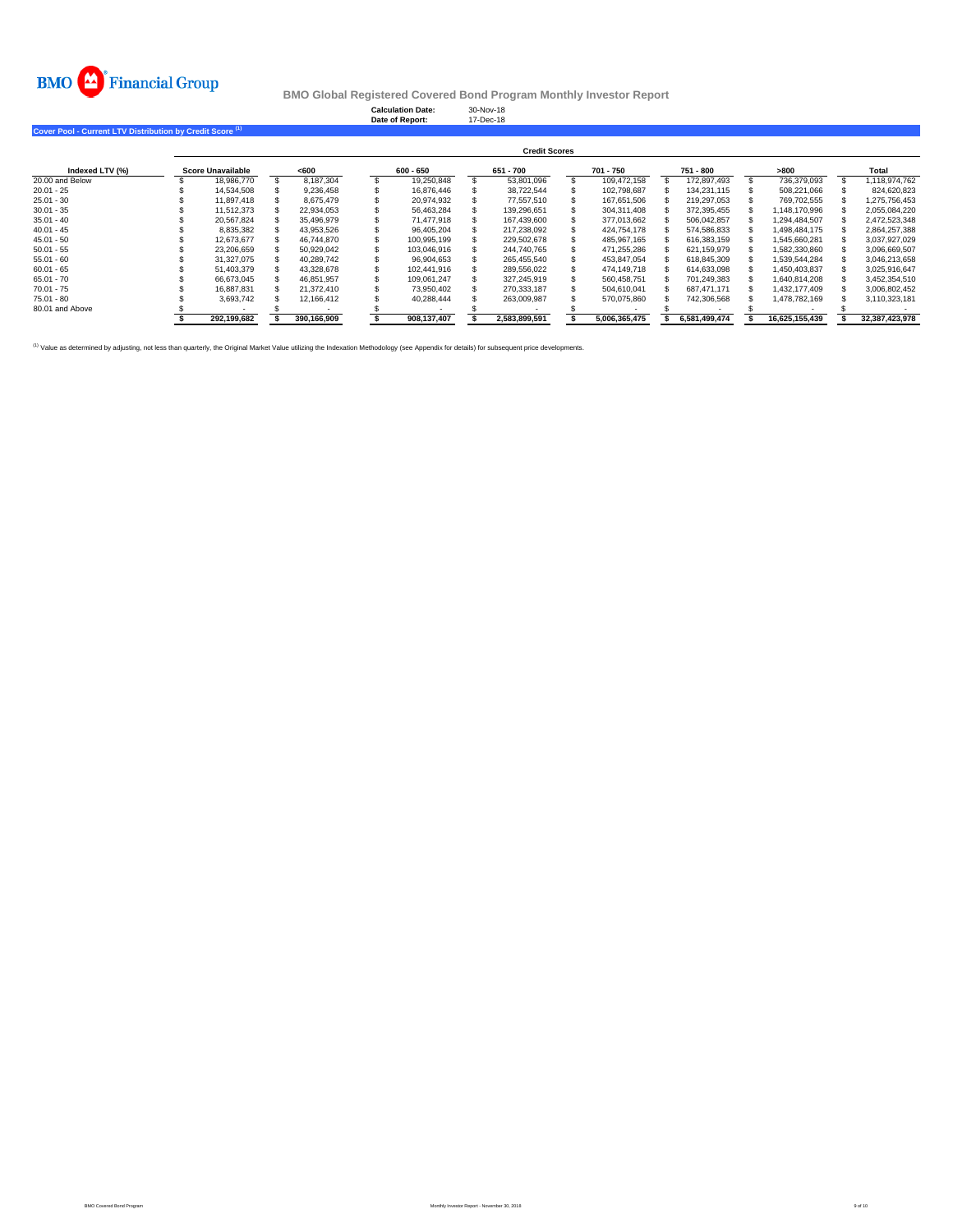

**Calculation Date:** 30-Nov-18 **Date of Report:** 17-Dec-18

**Cover Pool - Current LTV Distribution by Credit Score (1)** 

|                 | <b>Credit Scores</b>     |  |             |  |             |  |               |  |               |  |               |                |                |
|-----------------|--------------------------|--|-------------|--|-------------|--|---------------|--|---------------|--|---------------|----------------|----------------|
| Indexed LTV (%) | <b>Score Unavailable</b> |  | <600        |  | 600 - 650   |  | 651 - 700     |  | 701 - 750     |  | 751 - 800     | >800           | Total          |
| 20.00 and Below | 18.986.770               |  | 8.187.304   |  | 19.250.848  |  | 53.801.096    |  | 109.472.158   |  | 172.897.493   | 736.379.093    | 1.118.974.762  |
| $20.01 - 25$    | 14.534.508               |  | 9.236.458   |  | 16.876.446  |  | 38.722.544    |  | 102.798.687   |  | 134.231.115   | 508.221.066    | 824.620.823    |
| $25.01 - 30$    | 11.897.418               |  | 8.675.479   |  | 20.974.932  |  | 77.557.510    |  | 167.651.506   |  | 219.297.053   | 769.702.555    | 1.275.756.453  |
| $30.01 - 35$    | 11.512.373               |  | 22.934.053  |  | 56.463.284  |  | 139.296.651   |  | 304.311.408   |  | 372.395.455   | 1.148.170.996  | 2.055.084.220  |
| $35.01 - 40$    | 20.567.824               |  | 35.496.979  |  | 71.477.918  |  | 167.439.600   |  | 377.013.662   |  | 506.042.857   | .294.484.507   | 2,472,523,348  |
| $40.01 - 45$    | 8.835.382                |  | 43.953.526  |  | 96.405.204  |  | 217.238.092   |  | 424.754.178   |  | 574.586.833   | 1.498.484.175  | 2.864.257.388  |
| $45.01 - 50$    | 12.673.677               |  | 46.744.870  |  | 100.995.199 |  | 229.502.678   |  | 485.967.165   |  | 616.383.159   | 1.545.660.281  | 3.037.927.029  |
| $50.01 - 55$    | 23.206.659               |  | 50.929.042  |  | 103.046.916 |  | 244.740.765   |  | 471.255.286   |  | 621.159.979   | 1.582.330.860  | 3,096,669,507  |
| $55.01 - 60$    | 31.327.075               |  | 40.289.742  |  | 96.904.653  |  | 265.455.540   |  | 453.847.054   |  | 618.845.309   | 1.539.544.284  | 3.046.213.658  |
| $60.01 - 65$    | 51.403.379               |  | 43.328.678  |  | 102.441.916 |  | 289.556.022   |  | 474.149.718   |  | 614.633.098   | 1.450.403.837  | 3,025,916,647  |
| $65.01 - 70$    | 66.673.045               |  | 46.851.957  |  | 109.061.247 |  | 327.245.919   |  | 560.458.751   |  | 701,249,383   | 1.640.814.208  | 3,452,354,510  |
| $70.01 - 75$    | 16.887.831               |  | 21.372.410  |  | 73.950.402  |  | 270.333.187   |  | 504.610.041   |  | 687.471.171   | 1.432.177.409  | 3,006,802,452  |
| $75.01 - 80$    | 3.693.742                |  | 12.166.412  |  | 40.288.444  |  | 263.009.987   |  | 570.075.860   |  | 742.306.568   | 1.478.782.169  | 3,110,323,181  |
| 80.01 and Above |                          |  |             |  |             |  |               |  |               |  |               |                |                |
|                 | 292.199.682              |  | 390.166.909 |  | 908.137.407 |  | 2.583.899.591 |  | 5.006.365.475 |  | 6.581.499.474 | 16.625.155.439 | 32.387.423.978 |

<sup>(1)</sup> Value as determined by adjusting, not less than quarterly, the Original Market Value utilizing the Indexation Methodology (see Appendix for details) for subsequent price developments.